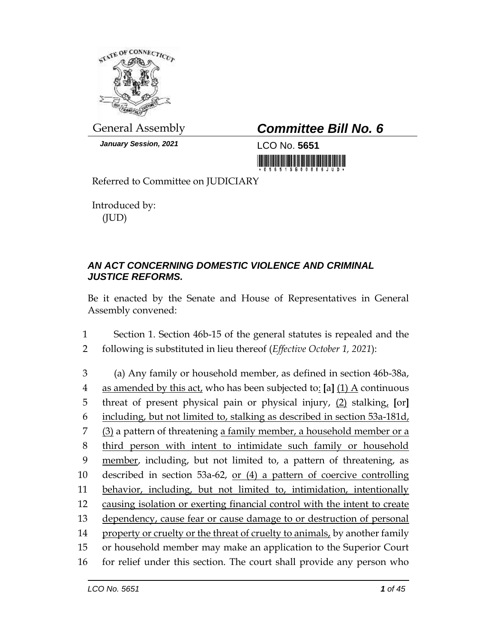

*January Session, 2021* LCO No. **5651**

## General Assembly *Committee Bill No. 6*

<u> 1999 - Johann Barn, mars e</u>

Referred to Committee on JUDICIARY

Introduced by: (JUD)

## *AN ACT CONCERNING DOMESTIC VIOLENCE AND CRIMINAL JUSTICE REFORMS.*

Be it enacted by the Senate and House of Representatives in General Assembly convened:

1 Section 1. Section 46b-15 of the general statutes is repealed and the 2 following is substituted in lieu thereof (*Effective October 1, 2021*):

 (a) Any family or household member, as defined in section 46b-38a, as amended by this act, who has been subjected to: **[**a**]** (1) A continuous threat of present physical pain or physical injury, (2) stalking, **[**or**]** including, but not limited to, stalking as described in section 53a-181d, (3) a pattern of threatening a family member, a household member or a third person with intent to intimidate such family or household member, including, but not limited to, a pattern of threatening, as described in section 53a-62, or (4) a pattern of coercive controlling behavior, including, but not limited to, intimidation, intentionally causing isolation or exerting financial control with the intent to create dependency, cause fear or cause damage to or destruction of personal property or cruelty or the threat of cruelty to animals, by another family or household member may make an application to the Superior Court for relief under this section. The court shall provide any person who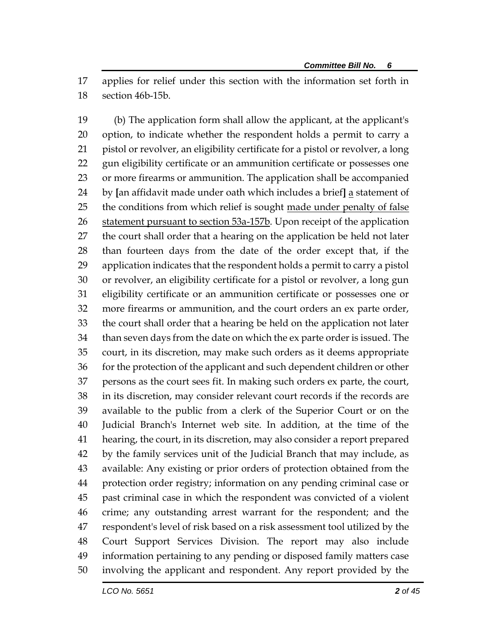applies for relief under this section with the information set forth in section 46b-15b.

 (b) The application form shall allow the applicant, at the applicant's option, to indicate whether the respondent holds a permit to carry a pistol or revolver, an eligibility certificate for a pistol or revolver, a long gun eligibility certificate or an ammunition certificate or possesses one or more firearms or ammunition. The application shall be accompanied by **[**an affidavit made under oath which includes a brief**]** a statement of 25 the conditions from which relief is sought made under penalty of false 26 statement pursuant to section 53a-157b. Upon receipt of the application the court shall order that a hearing on the application be held not later than fourteen days from the date of the order except that, if the application indicates that the respondent holds a permit to carry a pistol or revolver, an eligibility certificate for a pistol or revolver, a long gun eligibility certificate or an ammunition certificate or possesses one or more firearms or ammunition, and the court orders an ex parte order, the court shall order that a hearing be held on the application not later than seven days from the date on which the ex parte order is issued. The court, in its discretion, may make such orders as it deems appropriate for the protection of the applicant and such dependent children or other persons as the court sees fit. In making such orders ex parte, the court, in its discretion, may consider relevant court records if the records are available to the public from a clerk of the Superior Court or on the Judicial Branch's Internet web site. In addition, at the time of the hearing, the court, in its discretion, may also consider a report prepared by the family services unit of the Judicial Branch that may include, as available: Any existing or prior orders of protection obtained from the protection order registry; information on any pending criminal case or past criminal case in which the respondent was convicted of a violent crime; any outstanding arrest warrant for the respondent; and the respondent's level of risk based on a risk assessment tool utilized by the Court Support Services Division. The report may also include information pertaining to any pending or disposed family matters case involving the applicant and respondent. Any report provided by the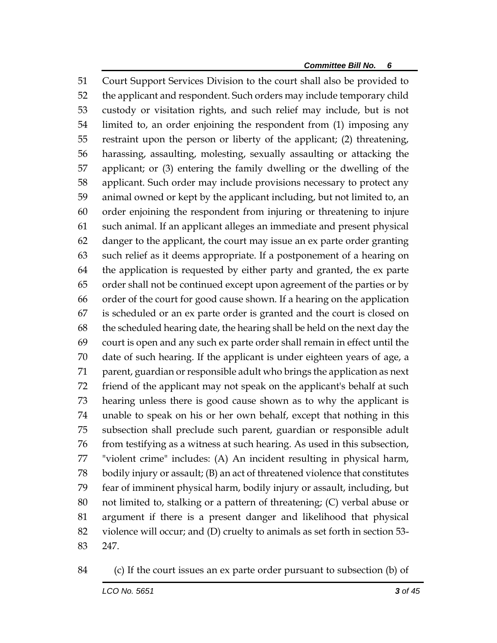Court Support Services Division to the court shall also be provided to the applicant and respondent. Such orders may include temporary child custody or visitation rights, and such relief may include, but is not limited to, an order enjoining the respondent from (1) imposing any restraint upon the person or liberty of the applicant; (2) threatening, harassing, assaulting, molesting, sexually assaulting or attacking the applicant; or (3) entering the family dwelling or the dwelling of the applicant. Such order may include provisions necessary to protect any animal owned or kept by the applicant including, but not limited to, an order enjoining the respondent from injuring or threatening to injure such animal. If an applicant alleges an immediate and present physical danger to the applicant, the court may issue an ex parte order granting such relief as it deems appropriate. If a postponement of a hearing on the application is requested by either party and granted, the ex parte order shall not be continued except upon agreement of the parties or by order of the court for good cause shown. If a hearing on the application is scheduled or an ex parte order is granted and the court is closed on the scheduled hearing date, the hearing shall be held on the next day the court is open and any such ex parte order shall remain in effect until the date of such hearing. If the applicant is under eighteen years of age, a parent, guardian or responsible adult who brings the application as next friend of the applicant may not speak on the applicant's behalf at such hearing unless there is good cause shown as to why the applicant is unable to speak on his or her own behalf, except that nothing in this subsection shall preclude such parent, guardian or responsible adult from testifying as a witness at such hearing. As used in this subsection, "violent crime" includes: (A) An incident resulting in physical harm, bodily injury or assault; (B) an act of threatened violence that constitutes fear of imminent physical harm, bodily injury or assault, including, but not limited to, stalking or a pattern of threatening; (C) verbal abuse or argument if there is a present danger and likelihood that physical violence will occur; and (D) cruelty to animals as set forth in section 53- 247.

(c) If the court issues an ex parte order pursuant to subsection (b) of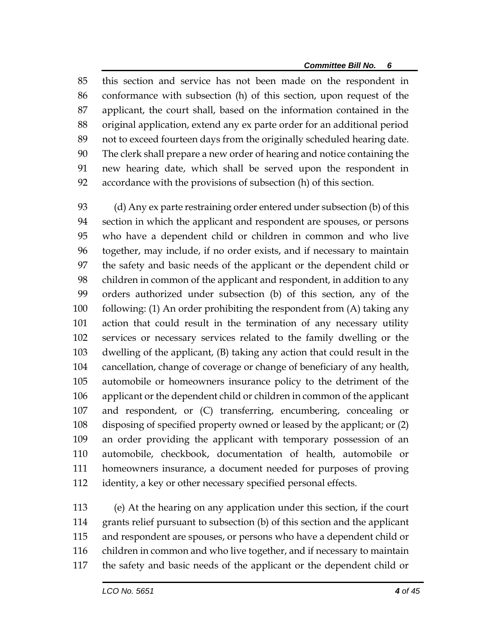this section and service has not been made on the respondent in conformance with subsection (h) of this section, upon request of the applicant, the court shall, based on the information contained in the original application, extend any ex parte order for an additional period not to exceed fourteen days from the originally scheduled hearing date. The clerk shall prepare a new order of hearing and notice containing the new hearing date, which shall be served upon the respondent in accordance with the provisions of subsection (h) of this section.

 (d) Any ex parte restraining order entered under subsection (b) of this section in which the applicant and respondent are spouses, or persons who have a dependent child or children in common and who live together, may include, if no order exists, and if necessary to maintain the safety and basic needs of the applicant or the dependent child or children in common of the applicant and respondent, in addition to any orders authorized under subsection (b) of this section, any of the following: (1) An order prohibiting the respondent from (A) taking any action that could result in the termination of any necessary utility services or necessary services related to the family dwelling or the dwelling of the applicant, (B) taking any action that could result in the cancellation, change of coverage or change of beneficiary of any health, automobile or homeowners insurance policy to the detriment of the applicant or the dependent child or children in common of the applicant and respondent, or (C) transferring, encumbering, concealing or disposing of specified property owned or leased by the applicant; or (2) an order providing the applicant with temporary possession of an automobile, checkbook, documentation of health, automobile or homeowners insurance, a document needed for purposes of proving identity, a key or other necessary specified personal effects.

 (e) At the hearing on any application under this section, if the court grants relief pursuant to subsection (b) of this section and the applicant and respondent are spouses, or persons who have a dependent child or children in common and who live together, and if necessary to maintain the safety and basic needs of the applicant or the dependent child or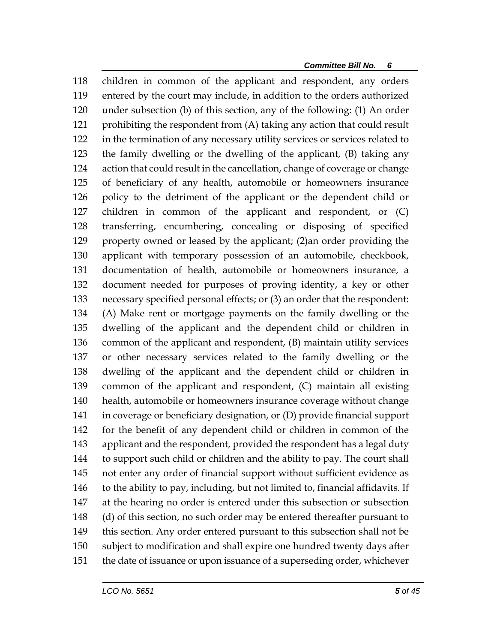children in common of the applicant and respondent, any orders entered by the court may include, in addition to the orders authorized under subsection (b) of this section, any of the following: (1) An order 121 prohibiting the respondent from (A) taking any action that could result in the termination of any necessary utility services or services related to the family dwelling or the dwelling of the applicant, (B) taking any action that could result in the cancellation, change of coverage or change of beneficiary of any health, automobile or homeowners insurance policy to the detriment of the applicant or the dependent child or children in common of the applicant and respondent, or (C) transferring, encumbering, concealing or disposing of specified property owned or leased by the applicant; (2)an order providing the applicant with temporary possession of an automobile, checkbook, documentation of health, automobile or homeowners insurance, a document needed for purposes of proving identity, a key or other necessary specified personal effects; or (3) an order that the respondent: (A) Make rent or mortgage payments on the family dwelling or the dwelling of the applicant and the dependent child or children in common of the applicant and respondent, (B) maintain utility services or other necessary services related to the family dwelling or the dwelling of the applicant and the dependent child or children in common of the applicant and respondent, (C) maintain all existing health, automobile or homeowners insurance coverage without change in coverage or beneficiary designation, or (D) provide financial support for the benefit of any dependent child or children in common of the applicant and the respondent, provided the respondent has a legal duty to support such child or children and the ability to pay. The court shall not enter any order of financial support without sufficient evidence as to the ability to pay, including, but not limited to, financial affidavits. If at the hearing no order is entered under this subsection or subsection (d) of this section, no such order may be entered thereafter pursuant to this section. Any order entered pursuant to this subsection shall not be subject to modification and shall expire one hundred twenty days after the date of issuance or upon issuance of a superseding order, whichever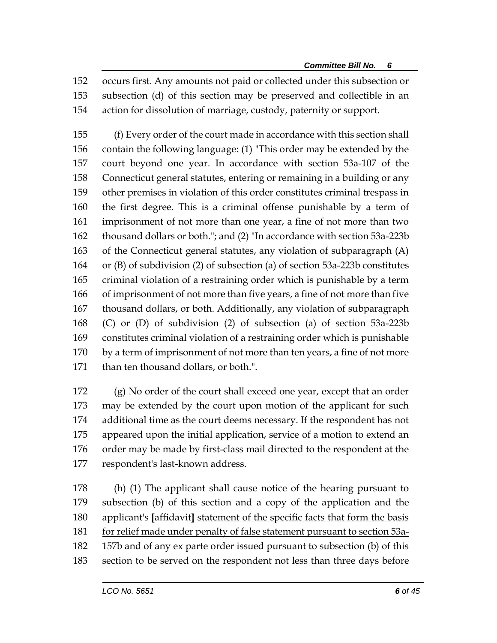occurs first. Any amounts not paid or collected under this subsection or subsection (d) of this section may be preserved and collectible in an action for dissolution of marriage, custody, paternity or support.

 (f) Every order of the court made in accordance with this section shall contain the following language: (1) "This order may be extended by the court beyond one year. In accordance with section 53a-107 of the Connecticut general statutes, entering or remaining in a building or any other premises in violation of this order constitutes criminal trespass in the first degree. This is a criminal offense punishable by a term of imprisonment of not more than one year, a fine of not more than two thousand dollars or both."; and (2) "In accordance with section 53a-223b of the Connecticut general statutes, any violation of subparagraph (A) or (B) of subdivision (2) of subsection (a) of section 53a-223b constitutes criminal violation of a restraining order which is punishable by a term of imprisonment of not more than five years, a fine of not more than five thousand dollars, or both. Additionally, any violation of subparagraph (C) or (D) of subdivision (2) of subsection (a) of section 53a-223b constitutes criminal violation of a restraining order which is punishable 170 by a term of imprisonment of not more than ten years, a fine of not more 171 than ten thousand dollars, or both.".

 (g) No order of the court shall exceed one year, except that an order may be extended by the court upon motion of the applicant for such additional time as the court deems necessary. If the respondent has not appeared upon the initial application, service of a motion to extend an order may be made by first-class mail directed to the respondent at the respondent's last-known address.

 (h) (1) The applicant shall cause notice of the hearing pursuant to subsection (b) of this section and a copy of the application and the applicant's **[**affidavit**]** statement of the specific facts that form the basis for relief made under penalty of false statement pursuant to section 53a- 157b and of any ex parte order issued pursuant to subsection (b) of this section to be served on the respondent not less than three days before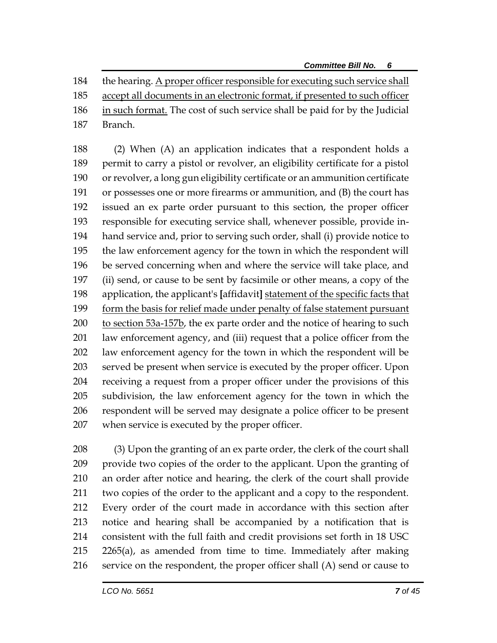the hearing. A proper officer responsible for executing such service shall accept all documents in an electronic format, if presented to such officer in such format. The cost of such service shall be paid for by the Judicial Branch.

 (2) When (A) an application indicates that a respondent holds a permit to carry a pistol or revolver, an eligibility certificate for a pistol or revolver, a long gun eligibility certificate or an ammunition certificate or possesses one or more firearms or ammunition, and (B) the court has issued an ex parte order pursuant to this section, the proper officer responsible for executing service shall, whenever possible, provide in- hand service and, prior to serving such order, shall (i) provide notice to the law enforcement agency for the town in which the respondent will be served concerning when and where the service will take place, and (ii) send, or cause to be sent by facsimile or other means, a copy of the application, the applicant's **[**affidavit**]** statement of the specific facts that form the basis for relief made under penalty of false statement pursuant to section 53a-157b, the ex parte order and the notice of hearing to such law enforcement agency, and (iii) request that a police officer from the law enforcement agency for the town in which the respondent will be served be present when service is executed by the proper officer. Upon receiving a request from a proper officer under the provisions of this subdivision, the law enforcement agency for the town in which the respondent will be served may designate a police officer to be present when service is executed by the proper officer.

 (3) Upon the granting of an ex parte order, the clerk of the court shall provide two copies of the order to the applicant. Upon the granting of an order after notice and hearing, the clerk of the court shall provide two copies of the order to the applicant and a copy to the respondent. Every order of the court made in accordance with this section after notice and hearing shall be accompanied by a notification that is consistent with the full faith and credit provisions set forth in 18 USC 2265(a), as amended from time to time. Immediately after making service on the respondent, the proper officer shall (A) send or cause to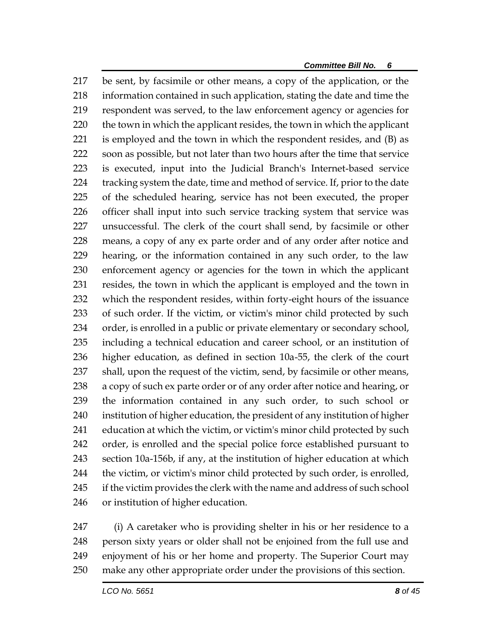be sent, by facsimile or other means, a copy of the application, or the information contained in such application, stating the date and time the respondent was served, to the law enforcement agency or agencies for 220 the town in which the applicant resides, the town in which the applicant is employed and the town in which the respondent resides, and (B) as soon as possible, but not later than two hours after the time that service is executed, input into the Judicial Branch's Internet-based service tracking system the date, time and method of service. If, prior to the date of the scheduled hearing, service has not been executed, the proper officer shall input into such service tracking system that service was unsuccessful. The clerk of the court shall send, by facsimile or other means, a copy of any ex parte order and of any order after notice and hearing, or the information contained in any such order, to the law enforcement agency or agencies for the town in which the applicant resides, the town in which the applicant is employed and the town in which the respondent resides, within forty-eight hours of the issuance of such order. If the victim, or victim's minor child protected by such order, is enrolled in a public or private elementary or secondary school, including a technical education and career school, or an institution of higher education, as defined in section 10a-55, the clerk of the court shall, upon the request of the victim, send, by facsimile or other means, a copy of such ex parte order or of any order after notice and hearing, or the information contained in any such order, to such school or institution of higher education, the president of any institution of higher 241 education at which the victim, or victim's minor child protected by such order, is enrolled and the special police force established pursuant to section 10a-156b, if any, at the institution of higher education at which the victim, or victim's minor child protected by such order, is enrolled, if the victim provides the clerk with the name and address of such school or institution of higher education.

 (i) A caretaker who is providing shelter in his or her residence to a person sixty years or older shall not be enjoined from the full use and enjoyment of his or her home and property. The Superior Court may make any other appropriate order under the provisions of this section.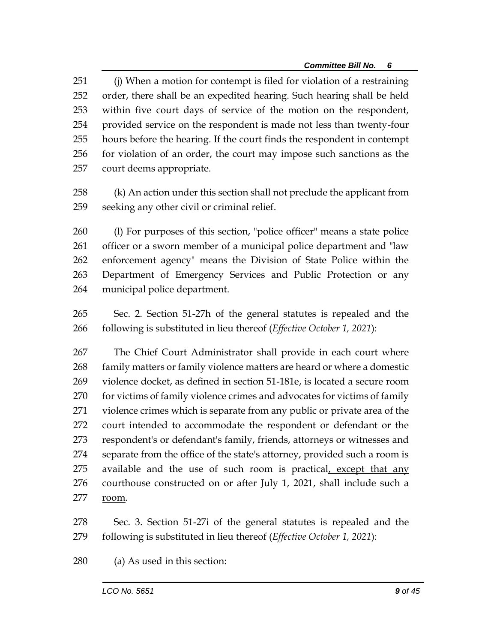(j) When a motion for contempt is filed for violation of a restraining order, there shall be an expedited hearing. Such hearing shall be held within five court days of service of the motion on the respondent, provided service on the respondent is made not less than twenty-four hours before the hearing. If the court finds the respondent in contempt for violation of an order, the court may impose such sanctions as the court deems appropriate.

 (k) An action under this section shall not preclude the applicant from seeking any other civil or criminal relief.

 (l) For purposes of this section, "police officer" means a state police officer or a sworn member of a municipal police department and "law enforcement agency" means the Division of State Police within the Department of Emergency Services and Public Protection or any municipal police department.

 Sec. 2. Section 51-27h of the general statutes is repealed and the following is substituted in lieu thereof (*Effective October 1, 2021*):

 The Chief Court Administrator shall provide in each court where family matters or family violence matters are heard or where a domestic violence docket, as defined in section 51-181e, is located a secure room 270 for victims of family violence crimes and advocates for victims of family violence crimes which is separate from any public or private area of the court intended to accommodate the respondent or defendant or the respondent's or defendant's family, friends, attorneys or witnesses and separate from the office of the state's attorney, provided such a room is available and the use of such room is practical, except that any courthouse constructed on or after July 1, 2021, shall include such a room.

 Sec. 3. Section 51-27i of the general statutes is repealed and the following is substituted in lieu thereof (*Effective October 1, 2021*):

(a) As used in this section: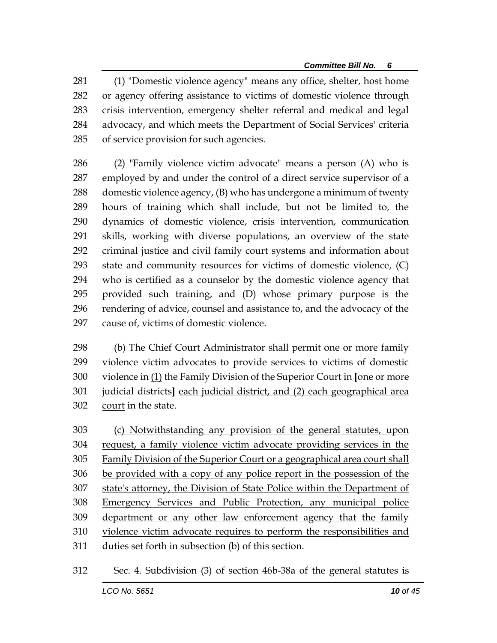(1) "Domestic violence agency" means any office, shelter, host home or agency offering assistance to victims of domestic violence through crisis intervention, emergency shelter referral and medical and legal advocacy, and which meets the Department of Social Services' criteria of service provision for such agencies.

 (2) "Family violence victim advocate" means a person (A) who is employed by and under the control of a direct service supervisor of a domestic violence agency, (B) who has undergone a minimum of twenty hours of training which shall include, but not be limited to, the dynamics of domestic violence, crisis intervention, communication skills, working with diverse populations, an overview of the state criminal justice and civil family court systems and information about state and community resources for victims of domestic violence, (C) who is certified as a counselor by the domestic violence agency that provided such training, and (D) whose primary purpose is the rendering of advice, counsel and assistance to, and the advocacy of the cause of, victims of domestic violence.

 (b) The Chief Court Administrator shall permit one or more family violence victim advocates to provide services to victims of domestic violence in (1) the Family Division of the Superior Court in **[**one or more judicial districts**]** each judicial district, and (2) each geographical area 302 court in the state.

 (c) Notwithstanding any provision of the general statutes, upon request, a family violence victim advocate providing services in the Family Division of the Superior Court or a geographical area court shall be provided with a copy of any police report in the possession of the state's attorney, the Division of State Police within the Department of Emergency Services and Public Protection, any municipal police department or any other law enforcement agency that the family violence victim advocate requires to perform the responsibilities and duties set forth in subsection (b) of this section.

Sec. 4. Subdivision (3) of section 46b-38a of the general statutes is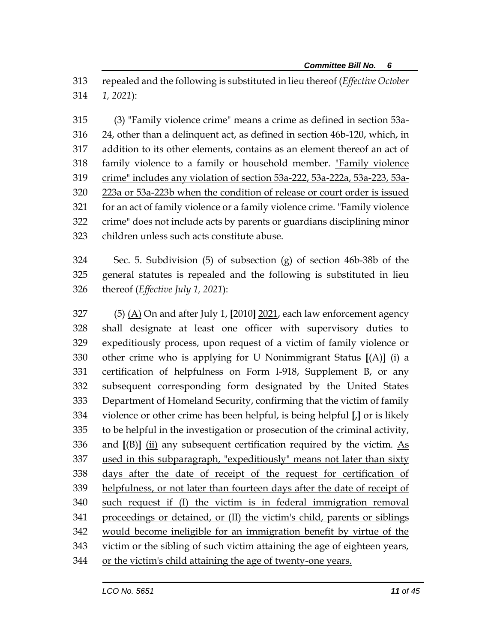repealed and the following is substituted in lieu thereof (*Effective October 1, 2021*):

 (3) "Family violence crime" means a crime as defined in section 53a- 24, other than a delinquent act, as defined in section 46b-120, which, in addition to its other elements, contains as an element thereof an act of family violence to a family or household member. "Family violence crime" includes any violation of section 53a-222, 53a-222a, 53a-223, 53a- 223a or 53a-223b when the condition of release or court order is issued for an act of family violence or a family violence crime. "Family violence crime" does not include acts by parents or guardians disciplining minor children unless such acts constitute abuse.

 Sec. 5. Subdivision (5) of subsection (g) of section 46b-38b of the general statutes is repealed and the following is substituted in lieu thereof (*Effective July 1, 2021*):

 (5) (A) On and after July 1, **[**2010**]** 2021, each law enforcement agency shall designate at least one officer with supervisory duties to expeditiously process, upon request of a victim of family violence or other crime who is applying for U Nonimmigrant Status **[**(A)**]** (i) a certification of helpfulness on Form I-918, Supplement B, or any subsequent corresponding form designated by the United States Department of Homeland Security, confirming that the victim of family violence or other crime has been helpful, is being helpful **[**,**]** or is likely to be helpful in the investigation or prosecution of the criminal activity, and **[**(B)**]** (ii) any subsequent certification required by the victim. As 337 used in this subparagraph, "expeditiously" means not later than sixty days after the date of receipt of the request for certification of helpfulness, or not later than fourteen days after the date of receipt of such request if (I) the victim is in federal immigration removal proceedings or detained, or (II) the victim's child, parents or siblings would become ineligible for an immigration benefit by virtue of the victim or the sibling of such victim attaining the age of eighteen years, or the victim's child attaining the age of twenty-one years.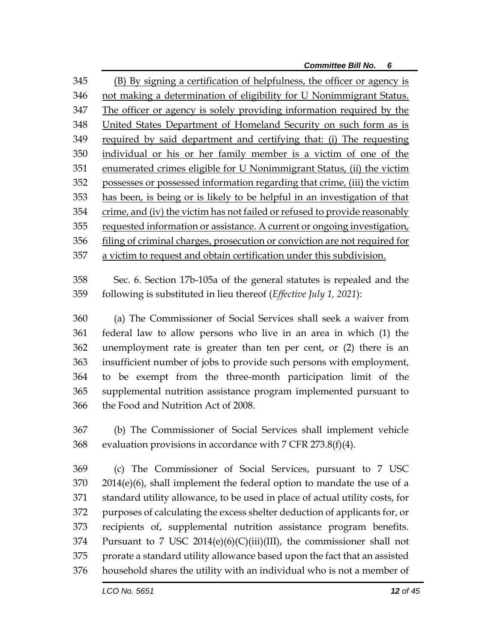(B) By signing a certification of helpfulness, the officer or agency is not making a determination of eligibility for U Nonimmigrant Status. The officer or agency is solely providing information required by the United States Department of Homeland Security on such form as is required by said department and certifying that: (i) The requesting individual or his or her family member is a victim of one of the enumerated crimes eligible for U Nonimmigrant Status, (ii) the victim possesses or possessed information regarding that crime, (iii) the victim has been, is being or is likely to be helpful in an investigation of that crime, and (iv) the victim has not failed or refused to provide reasonably 355 requested information or assistance. A current or ongoing investigation, filing of criminal charges, prosecution or conviction are not required for a victim to request and obtain certification under this subdivision.

 Sec. 6. Section 17b-105a of the general statutes is repealed and the following is substituted in lieu thereof (*Effective July 1, 2021*):

 (a) The Commissioner of Social Services shall seek a waiver from federal law to allow persons who live in an area in which (1) the unemployment rate is greater than ten per cent, or (2) there is an insufficient number of jobs to provide such persons with employment, to be exempt from the three-month participation limit of the supplemental nutrition assistance program implemented pursuant to the Food and Nutrition Act of 2008.

 (b) The Commissioner of Social Services shall implement vehicle evaluation provisions in accordance with 7 CFR 273.8(f)(4).

 (c) The Commissioner of Social Services, pursuant to 7 USC 2014(e)(6), shall implement the federal option to mandate the use of a standard utility allowance, to be used in place of actual utility costs, for purposes of calculating the excess shelter deduction of applicants for, or recipients of, supplemental nutrition assistance program benefits. Pursuant to 7 USC 2014(e)(6)(C)(iii)(III), the commissioner shall not prorate a standard utility allowance based upon the fact that an assisted household shares the utility with an individual who is not a member of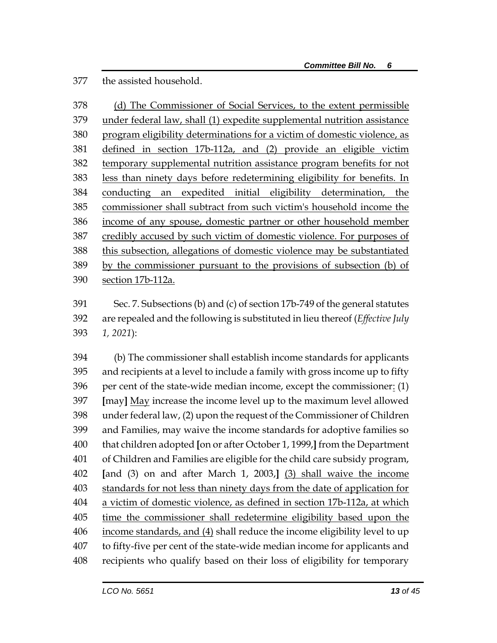## the assisted household.

| 378 | (d) The Commissioner of Social Services, to the extent permissible       |  |
|-----|--------------------------------------------------------------------------|--|
| 379 | under federal law, shall (1) expedite supplemental nutrition assistance  |  |
| 380 | program eligibility determinations for a victim of domestic violence, as |  |
| 381 | defined in section 17b-112a, and (2) provide an eligible victim          |  |
| 382 | temporary supplemental nutrition assistance program benefits for not     |  |
| 383 | less than ninety days before redetermining eligibility for benefits. In  |  |
| 384 | conducting an expedited initial eligibility determination, the           |  |
| 385 | commissioner shall subtract from such victim's household income the      |  |
| 386 | income of any spouse, domestic partner or other household member         |  |
| 387 | credibly accused by such victim of domestic violence. For purposes of    |  |
| 388 | this subsection, allegations of domestic violence may be substantiated   |  |
| 389 | by the commissioner pursuant to the provisions of subsection (b) of      |  |
| 390 | section 17b-112a.                                                        |  |

 Sec. 7. Subsections (b) and (c) of section 17b-749 of the general statutes are repealed and the following is substituted in lieu thereof (*Effective July 1, 2021*):

 (b) The commissioner shall establish income standards for applicants and recipients at a level to include a family with gross income up to fifty per cent of the state-wide median income, except the commissioner: (1) **[**may**]** May increase the income level up to the maximum level allowed under federal law, (2) upon the request of the Commissioner of Children and Families, may waive the income standards for adoptive families so that children adopted **[**on or after October 1, 1999,**]** from the Department of Children and Families are eligible for the child care subsidy program, **[**and (3) on and after March 1, 2003,**]** (3) shall waive the income standards for not less than ninety days from the date of application for a victim of domestic violence, as defined in section 17b-112a, at which time the commissioner shall redetermine eligibility based upon the 406 income standards, and (4) shall reduce the income eligibility level to up to fifty-five per cent of the state-wide median income for applicants and recipients who qualify based on their loss of eligibility for temporary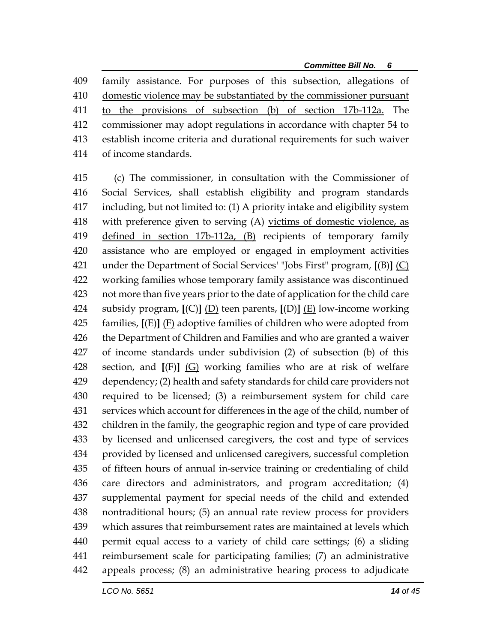family assistance. For purposes of this subsection, allegations of domestic violence may be substantiated by the commissioner pursuant to the provisions of subsection (b) of section 17b-112a. The commissioner may adopt regulations in accordance with chapter 54 to establish income criteria and durational requirements for such waiver of income standards.

 (c) The commissioner, in consultation with the Commissioner of Social Services, shall establish eligibility and program standards including, but not limited to: (1) A priority intake and eligibility system 418 with preference given to serving (A) victims of domestic violence, as 419 defined in section 17b-112a, (B) recipients of temporary family assistance who are employed or engaged in employment activities under the Department of Social Services' "Jobs First" program, **[**(B)**]** (C) working families whose temporary family assistance was discontinued not more than five years prior to the date of application for the child care subsidy program, **[**(C)**]** (D) teen parents, **[**(D)**]** (E) low-income working families, **[**(E)**]** (F) adoptive families of children who were adopted from the Department of Children and Families and who are granted a waiver of income standards under subdivision (2) of subsection (b) of this section, and **[**(F)**]** (G) working families who are at risk of welfare dependency; (2) health and safety standards for child care providers not required to be licensed; (3) a reimbursement system for child care services which account for differences in the age of the child, number of children in the family, the geographic region and type of care provided by licensed and unlicensed caregivers, the cost and type of services provided by licensed and unlicensed caregivers, successful completion of fifteen hours of annual in-service training or credentialing of child care directors and administrators, and program accreditation; (4) supplemental payment for special needs of the child and extended nontraditional hours; (5) an annual rate review process for providers which assures that reimbursement rates are maintained at levels which permit equal access to a variety of child care settings; (6) a sliding reimbursement scale for participating families; (7) an administrative appeals process; (8) an administrative hearing process to adjudicate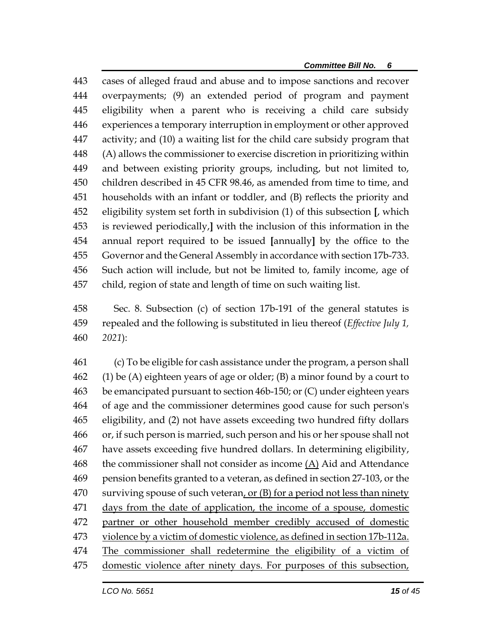cases of alleged fraud and abuse and to impose sanctions and recover overpayments; (9) an extended period of program and payment eligibility when a parent who is receiving a child care subsidy experiences a temporary interruption in employment or other approved activity; and (10) a waiting list for the child care subsidy program that (A) allows the commissioner to exercise discretion in prioritizing within and between existing priority groups, including, but not limited to, children described in 45 CFR 98.46, as amended from time to time, and households with an infant or toddler, and (B) reflects the priority and eligibility system set forth in subdivision (1) of this subsection **[**, which is reviewed periodically,**]** with the inclusion of this information in the annual report required to be issued **[**annually**]** by the office to the Governor and the General Assembly in accordance with section 17b-733. Such action will include, but not be limited to, family income, age of child, region of state and length of time on such waiting list.

 Sec. 8. Subsection (c) of section 17b-191 of the general statutes is repealed and the following is substituted in lieu thereof (*Effective July 1, 2021*):

 (c) To be eligible for cash assistance under the program, a person shall (1) be (A) eighteen years of age or older; (B) a minor found by a court to be emancipated pursuant to section 46b-150; or (C) under eighteen years of age and the commissioner determines good cause for such person's eligibility, and (2) not have assets exceeding two hundred fifty dollars or, if such person is married, such person and his or her spouse shall not have assets exceeding five hundred dollars. In determining eligibility, 468 the commissioner shall not consider as income  $(A)$  Aid and Attendance pension benefits granted to a veteran, as defined in section 27-103, or the surviving spouse of such veteran, or (B) for a period not less than ninety days from the date of application, the income of a spouse, domestic partner or other household member credibly accused of domestic violence by a victim of domestic violence, as defined in section 17b-112a. The commissioner shall redetermine the eligibility of a victim of domestic violence after ninety days. For purposes of this subsection,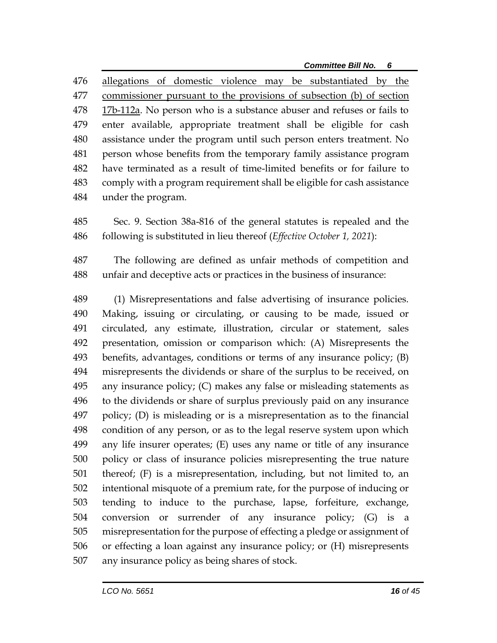*Committee Bill No. 6*

 allegations of domestic violence may be substantiated by the commissioner pursuant to the provisions of subsection (b) of section 17b-112a. No person who is a substance abuser and refuses or fails to enter available, appropriate treatment shall be eligible for cash assistance under the program until such person enters treatment. No person whose benefits from the temporary family assistance program have terminated as a result of time-limited benefits or for failure to comply with a program requirement shall be eligible for cash assistance under the program.

 Sec. 9. Section 38a-816 of the general statutes is repealed and the following is substituted in lieu thereof (*Effective October 1, 2021*):

 The following are defined as unfair methods of competition and unfair and deceptive acts or practices in the business of insurance:

 (1) Misrepresentations and false advertising of insurance policies. Making, issuing or circulating, or causing to be made, issued or circulated, any estimate, illustration, circular or statement, sales presentation, omission or comparison which: (A) Misrepresents the benefits, advantages, conditions or terms of any insurance policy; (B) misrepresents the dividends or share of the surplus to be received, on any insurance policy; (C) makes any false or misleading statements as to the dividends or share of surplus previously paid on any insurance policy; (D) is misleading or is a misrepresentation as to the financial condition of any person, or as to the legal reserve system upon which any life insurer operates; (E) uses any name or title of any insurance policy or class of insurance policies misrepresenting the true nature thereof; (F) is a misrepresentation, including, but not limited to, an intentional misquote of a premium rate, for the purpose of inducing or tending to induce to the purchase, lapse, forfeiture, exchange, conversion or surrender of any insurance policy; (G) is a misrepresentation for the purpose of effecting a pledge or assignment of or effecting a loan against any insurance policy; or (H) misrepresents any insurance policy as being shares of stock.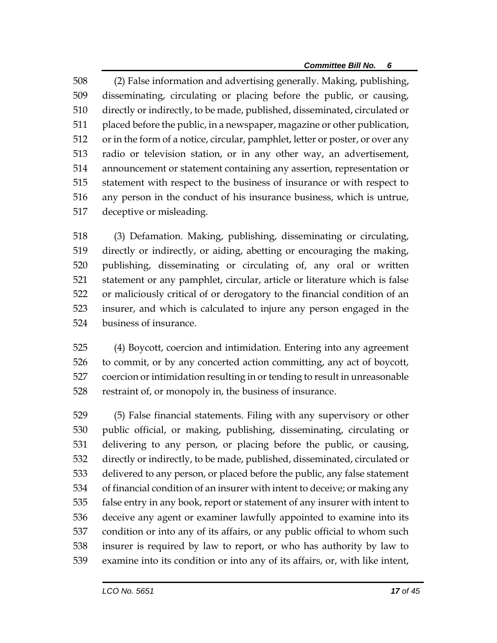(2) False information and advertising generally. Making, publishing, disseminating, circulating or placing before the public, or causing, directly or indirectly, to be made, published, disseminated, circulated or placed before the public, in a newspaper, magazine or other publication, or in the form of a notice, circular, pamphlet, letter or poster, or over any radio or television station, or in any other way, an advertisement, announcement or statement containing any assertion, representation or statement with respect to the business of insurance or with respect to any person in the conduct of his insurance business, which is untrue, deceptive or misleading.

 (3) Defamation. Making, publishing, disseminating or circulating, directly or indirectly, or aiding, abetting or encouraging the making, publishing, disseminating or circulating of, any oral or written statement or any pamphlet, circular, article or literature which is false or maliciously critical of or derogatory to the financial condition of an insurer, and which is calculated to injure any person engaged in the business of insurance.

 (4) Boycott, coercion and intimidation. Entering into any agreement to commit, or by any concerted action committing, any act of boycott, coercion or intimidation resulting in or tending to result in unreasonable restraint of, or monopoly in, the business of insurance.

 (5) False financial statements. Filing with any supervisory or other public official, or making, publishing, disseminating, circulating or delivering to any person, or placing before the public, or causing, directly or indirectly, to be made, published, disseminated, circulated or delivered to any person, or placed before the public, any false statement of financial condition of an insurer with intent to deceive; or making any false entry in any book, report or statement of any insurer with intent to deceive any agent or examiner lawfully appointed to examine into its condition or into any of its affairs, or any public official to whom such insurer is required by law to report, or who has authority by law to examine into its condition or into any of its affairs, or, with like intent,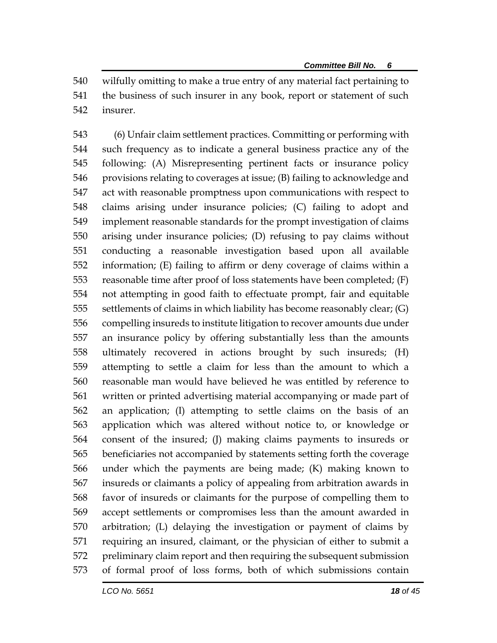wilfully omitting to make a true entry of any material fact pertaining to the business of such insurer in any book, report or statement of such insurer.

 (6) Unfair claim settlement practices. Committing or performing with such frequency as to indicate a general business practice any of the following: (A) Misrepresenting pertinent facts or insurance policy provisions relating to coverages at issue; (B) failing to acknowledge and act with reasonable promptness upon communications with respect to claims arising under insurance policies; (C) failing to adopt and implement reasonable standards for the prompt investigation of claims arising under insurance policies; (D) refusing to pay claims without conducting a reasonable investigation based upon all available information; (E) failing to affirm or deny coverage of claims within a reasonable time after proof of loss statements have been completed; (F) not attempting in good faith to effectuate prompt, fair and equitable settlements of claims in which liability has become reasonably clear; (G) compelling insureds to institute litigation to recover amounts due under an insurance policy by offering substantially less than the amounts ultimately recovered in actions brought by such insureds; (H) attempting to settle a claim for less than the amount to which a reasonable man would have believed he was entitled by reference to written or printed advertising material accompanying or made part of an application; (I) attempting to settle claims on the basis of an application which was altered without notice to, or knowledge or consent of the insured; (J) making claims payments to insureds or beneficiaries not accompanied by statements setting forth the coverage under which the payments are being made; (K) making known to insureds or claimants a policy of appealing from arbitration awards in favor of insureds or claimants for the purpose of compelling them to accept settlements or compromises less than the amount awarded in arbitration; (L) delaying the investigation or payment of claims by requiring an insured, claimant, or the physician of either to submit a preliminary claim report and then requiring the subsequent submission of formal proof of loss forms, both of which submissions contain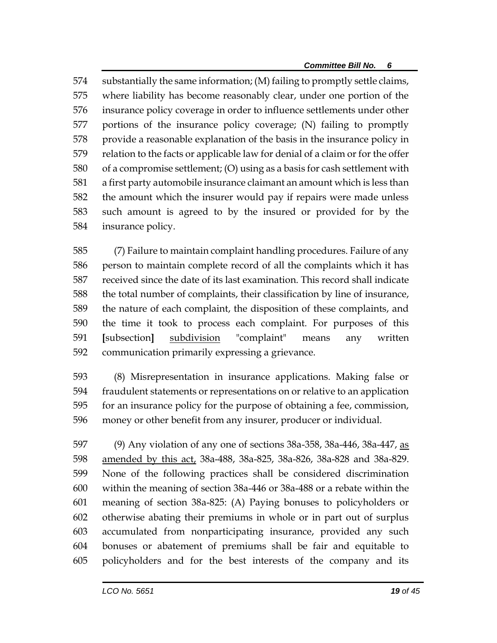substantially the same information; (M) failing to promptly settle claims, where liability has become reasonably clear, under one portion of the insurance policy coverage in order to influence settlements under other portions of the insurance policy coverage; (N) failing to promptly provide a reasonable explanation of the basis in the insurance policy in relation to the facts or applicable law for denial of a claim or for the offer of a compromise settlement; (O) using as a basis for cash settlement with a first party automobile insurance claimant an amount which is less than the amount which the insurer would pay if repairs were made unless such amount is agreed to by the insured or provided for by the insurance policy.

 (7) Failure to maintain complaint handling procedures. Failure of any person to maintain complete record of all the complaints which it has received since the date of its last examination. This record shall indicate the total number of complaints, their classification by line of insurance, the nature of each complaint, the disposition of these complaints, and the time it took to process each complaint. For purposes of this **[**subsection**]** subdivision "complaint" means any written communication primarily expressing a grievance.

 (8) Misrepresentation in insurance applications. Making false or fraudulent statements or representations on or relative to an application for an insurance policy for the purpose of obtaining a fee, commission, money or other benefit from any insurer, producer or individual.

 (9) Any violation of any one of sections 38a-358, 38a-446, 38a-447, as amended by this act, 38a-488, 38a-825, 38a-826, 38a-828 and 38a-829. None of the following practices shall be considered discrimination within the meaning of section 38a-446 or 38a-488 or a rebate within the meaning of section 38a-825: (A) Paying bonuses to policyholders or otherwise abating their premiums in whole or in part out of surplus accumulated from nonparticipating insurance, provided any such bonuses or abatement of premiums shall be fair and equitable to policyholders and for the best interests of the company and its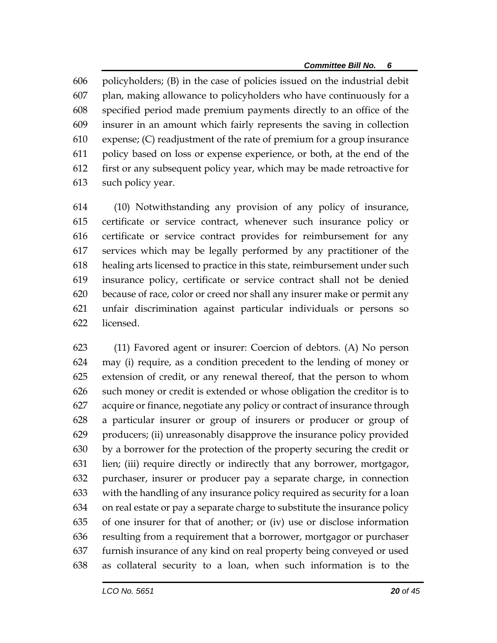policyholders; (B) in the case of policies issued on the industrial debit plan, making allowance to policyholders who have continuously for a specified period made premium payments directly to an office of the insurer in an amount which fairly represents the saving in collection expense; (C) readjustment of the rate of premium for a group insurance policy based on loss or expense experience, or both, at the end of the first or any subsequent policy year, which may be made retroactive for such policy year.

 (10) Notwithstanding any provision of any policy of insurance, certificate or service contract, whenever such insurance policy or certificate or service contract provides for reimbursement for any services which may be legally performed by any practitioner of the healing arts licensed to practice in this state, reimbursement under such insurance policy, certificate or service contract shall not be denied because of race, color or creed nor shall any insurer make or permit any unfair discrimination against particular individuals or persons so licensed.

 (11) Favored agent or insurer: Coercion of debtors. (A) No person may (i) require, as a condition precedent to the lending of money or extension of credit, or any renewal thereof, that the person to whom such money or credit is extended or whose obligation the creditor is to acquire or finance, negotiate any policy or contract of insurance through a particular insurer or group of insurers or producer or group of producers; (ii) unreasonably disapprove the insurance policy provided by a borrower for the protection of the property securing the credit or lien; (iii) require directly or indirectly that any borrower, mortgagor, purchaser, insurer or producer pay a separate charge, in connection with the handling of any insurance policy required as security for a loan on real estate or pay a separate charge to substitute the insurance policy of one insurer for that of another; or (iv) use or disclose information resulting from a requirement that a borrower, mortgagor or purchaser furnish insurance of any kind on real property being conveyed or used as collateral security to a loan, when such information is to the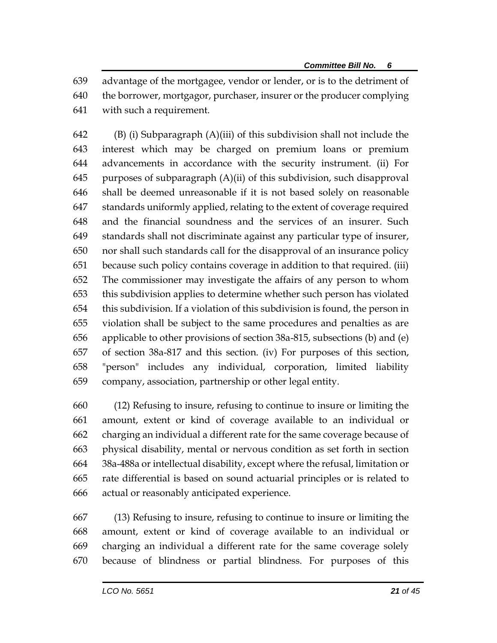advantage of the mortgagee, vendor or lender, or is to the detriment of

 the borrower, mortgagor, purchaser, insurer or the producer complying with such a requirement.

 (B) (i) Subparagraph (A)(iii) of this subdivision shall not include the interest which may be charged on premium loans or premium advancements in accordance with the security instrument. (ii) For 645 purposes of subparagraph  $(A)(ii)$  of this subdivision, such disapproval shall be deemed unreasonable if it is not based solely on reasonable standards uniformly applied, relating to the extent of coverage required and the financial soundness and the services of an insurer. Such standards shall not discriminate against any particular type of insurer, nor shall such standards call for the disapproval of an insurance policy because such policy contains coverage in addition to that required. (iii) The commissioner may investigate the affairs of any person to whom this subdivision applies to determine whether such person has violated this subdivision. If a violation of this subdivision is found, the person in violation shall be subject to the same procedures and penalties as are applicable to other provisions of section 38a-815, subsections (b) and (e) of section 38a-817 and this section. (iv) For purposes of this section, "person" includes any individual, corporation, limited liability company, association, partnership or other legal entity.

 (12) Refusing to insure, refusing to continue to insure or limiting the amount, extent or kind of coverage available to an individual or charging an individual a different rate for the same coverage because of physical disability, mental or nervous condition as set forth in section 38a-488a or intellectual disability, except where the refusal, limitation or rate differential is based on sound actuarial principles or is related to actual or reasonably anticipated experience.

 (13) Refusing to insure, refusing to continue to insure or limiting the amount, extent or kind of coverage available to an individual or charging an individual a different rate for the same coverage solely because of blindness or partial blindness. For purposes of this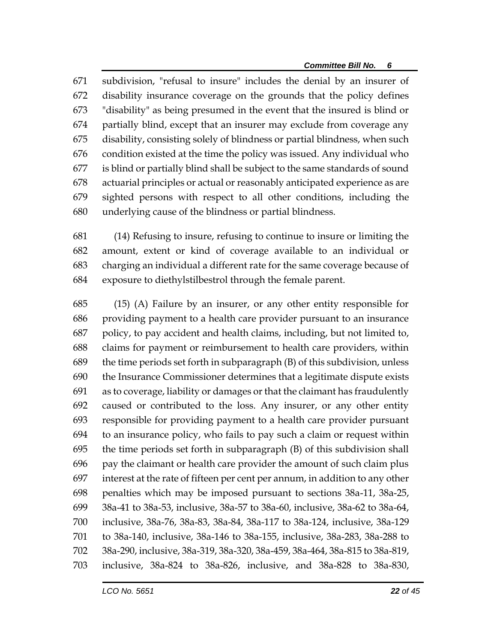subdivision, "refusal to insure" includes the denial by an insurer of disability insurance coverage on the grounds that the policy defines "disability" as being presumed in the event that the insured is blind or partially blind, except that an insurer may exclude from coverage any disability, consisting solely of blindness or partial blindness, when such condition existed at the time the policy was issued. Any individual who is blind or partially blind shall be subject to the same standards of sound actuarial principles or actual or reasonably anticipated experience as are sighted persons with respect to all other conditions, including the underlying cause of the blindness or partial blindness.

 (14) Refusing to insure, refusing to continue to insure or limiting the amount, extent or kind of coverage available to an individual or charging an individual a different rate for the same coverage because of exposure to diethylstilbestrol through the female parent.

 (15) (A) Failure by an insurer, or any other entity responsible for providing payment to a health care provider pursuant to an insurance policy, to pay accident and health claims, including, but not limited to, claims for payment or reimbursement to health care providers, within the time periods set forth in subparagraph (B) of this subdivision, unless the Insurance Commissioner determines that a legitimate dispute exists as to coverage, liability or damages or that the claimant has fraudulently caused or contributed to the loss. Any insurer, or any other entity responsible for providing payment to a health care provider pursuant to an insurance policy, who fails to pay such a claim or request within the time periods set forth in subparagraph (B) of this subdivision shall pay the claimant or health care provider the amount of such claim plus interest at the rate of fifteen per cent per annum, in addition to any other penalties which may be imposed pursuant to sections 38a-11, 38a-25, 38a-41 to 38a-53, inclusive, 38a-57 to 38a-60, inclusive, 38a-62 to 38a-64, inclusive, 38a-76, 38a-83, 38a-84, 38a-117 to 38a-124, inclusive, 38a-129 to 38a-140, inclusive, 38a-146 to 38a-155, inclusive, 38a-283, 38a-288 to 38a-290, inclusive, 38a-319, 38a-320, 38a-459, 38a-464, 38a-815 to 38a-819, inclusive, 38a-824 to 38a-826, inclusive, and 38a-828 to 38a-830,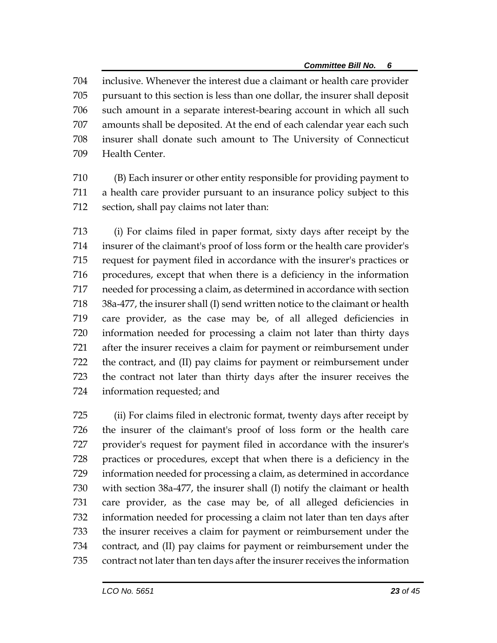inclusive. Whenever the interest due a claimant or health care provider pursuant to this section is less than one dollar, the insurer shall deposit such amount in a separate interest-bearing account in which all such amounts shall be deposited. At the end of each calendar year each such insurer shall donate such amount to The University of Connecticut Health Center.

 (B) Each insurer or other entity responsible for providing payment to a health care provider pursuant to an insurance policy subject to this section, shall pay claims not later than:

 (i) For claims filed in paper format, sixty days after receipt by the insurer of the claimant's proof of loss form or the health care provider's request for payment filed in accordance with the insurer's practices or procedures, except that when there is a deficiency in the information needed for processing a claim, as determined in accordance with section 38a-477, the insurer shall (I) send written notice to the claimant or health care provider, as the case may be, of all alleged deficiencies in information needed for processing a claim not later than thirty days after the insurer receives a claim for payment or reimbursement under the contract, and (II) pay claims for payment or reimbursement under the contract not later than thirty days after the insurer receives the information requested; and

 (ii) For claims filed in electronic format, twenty days after receipt by the insurer of the claimant's proof of loss form or the health care provider's request for payment filed in accordance with the insurer's practices or procedures, except that when there is a deficiency in the information needed for processing a claim, as determined in accordance with section 38a-477, the insurer shall (I) notify the claimant or health care provider, as the case may be, of all alleged deficiencies in information needed for processing a claim not later than ten days after the insurer receives a claim for payment or reimbursement under the contract, and (II) pay claims for payment or reimbursement under the contract not later than ten days after the insurer receives the information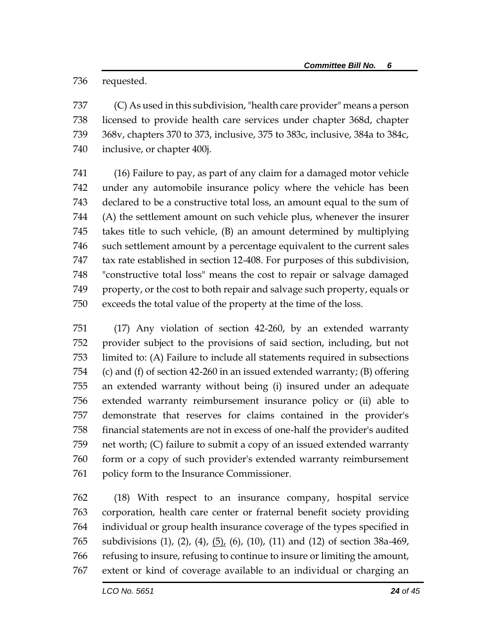requested.

 (C) As used in this subdivision, "health care provider" means a person licensed to provide health care services under chapter 368d, chapter 368v, chapters 370 to 373, inclusive, 375 to 383c, inclusive, 384a to 384c, inclusive, or chapter 400j.

 (16) Failure to pay, as part of any claim for a damaged motor vehicle under any automobile insurance policy where the vehicle has been declared to be a constructive total loss, an amount equal to the sum of (A) the settlement amount on such vehicle plus, whenever the insurer takes title to such vehicle, (B) an amount determined by multiplying such settlement amount by a percentage equivalent to the current sales tax rate established in section 12-408. For purposes of this subdivision, "constructive total loss" means the cost to repair or salvage damaged property, or the cost to both repair and salvage such property, equals or exceeds the total value of the property at the time of the loss.

 (17) Any violation of section 42-260, by an extended warranty provider subject to the provisions of said section, including, but not limited to: (A) Failure to include all statements required in subsections (c) and (f) of section 42-260 in an issued extended warranty; (B) offering an extended warranty without being (i) insured under an adequate extended warranty reimbursement insurance policy or (ii) able to demonstrate that reserves for claims contained in the provider's financial statements are not in excess of one-half the provider's audited net worth; (C) failure to submit a copy of an issued extended warranty form or a copy of such provider's extended warranty reimbursement policy form to the Insurance Commissioner.

 (18) With respect to an insurance company, hospital service corporation, health care center or fraternal benefit society providing individual or group health insurance coverage of the types specified in 765 subdivisions (1), (2), (4),  $(5)$ , (6), (10), (11) and (12) of section 38a-469, refusing to insure, refusing to continue to insure or limiting the amount, extent or kind of coverage available to an individual or charging an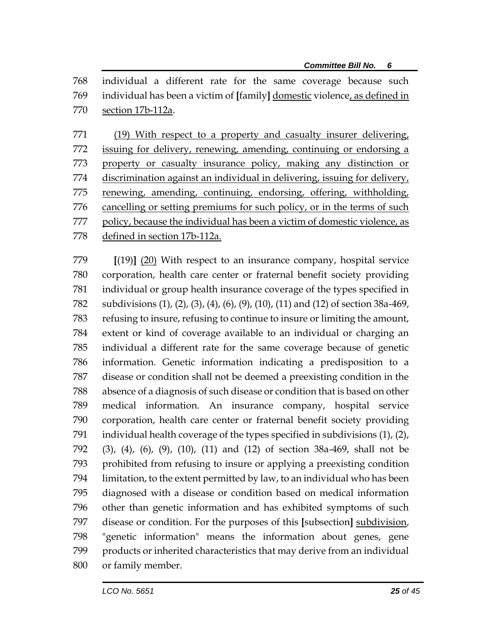individual a different rate for the same coverage because such individual has been a victim of **[**family**]** domestic violence, as defined in section 17b-112a.

 (19) With respect to a property and casualty insurer delivering, issuing for delivery, renewing, amending, continuing or endorsing a property or casualty insurance policy, making any distinction or discrimination against an individual in delivering, issuing for delivery, renewing, amending, continuing, endorsing, offering, withholding, cancelling or setting premiums for such policy, or in the terms of such policy, because the individual has been a victim of domestic violence, as defined in section 17b-112a.

 **[**(19)**]** (20) With respect to an insurance company, hospital service corporation, health care center or fraternal benefit society providing individual or group health insurance coverage of the types specified in subdivisions (1), (2), (3), (4), (6), (9), (10), (11) and (12) of section 38a-469, refusing to insure, refusing to continue to insure or limiting the amount, extent or kind of coverage available to an individual or charging an individual a different rate for the same coverage because of genetic information. Genetic information indicating a predisposition to a disease or condition shall not be deemed a preexisting condition in the absence of a diagnosis of such disease or condition that is based on other medical information. An insurance company, hospital service corporation, health care center or fraternal benefit society providing individual health coverage of the types specified in subdivisions (1), (2), (3), (4), (6), (9), (10), (11) and (12) of section 38a-469, shall not be prohibited from refusing to insure or applying a preexisting condition limitation, to the extent permitted by law, to an individual who has been diagnosed with a disease or condition based on medical information other than genetic information and has exhibited symptoms of such disease or condition. For the purposes of this **[**subsection**]** subdivision, "genetic information" means the information about genes, gene products or inherited characteristics that may derive from an individual or family member.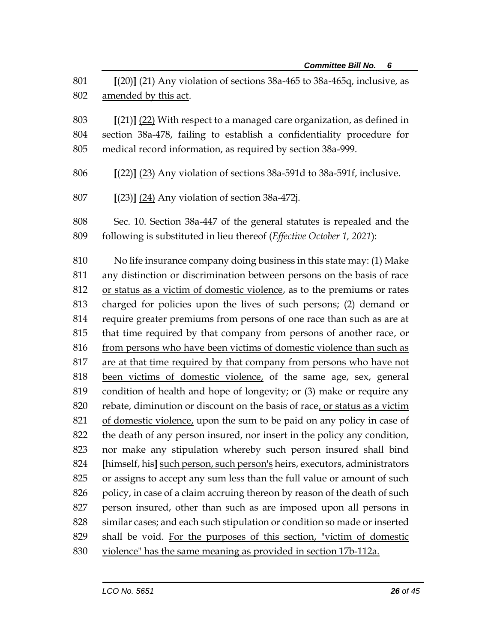**[**(20)**]** (21) Any violation of sections 38a-465 to 38a-465q, inclusive, as amended by this act. **[**(21)**]** (22) With respect to a managed care organization, as defined in section 38a-478, failing to establish a confidentiality procedure for medical record information, as required by section 38a-999. **[**(22)**]** (23) Any violation of sections 38a-591d to 38a-591f, inclusive. **[**(23)**]** (24) Any violation of section 38a-472j. Sec. 10. Section 38a-447 of the general statutes is repealed and the following is substituted in lieu thereof (*Effective October 1, 2021*): No life insurance company doing business in this state may: (1) Make any distinction or discrimination between persons on the basis of race 812 or status as a victim of domestic violence, as to the premiums or rates charged for policies upon the lives of such persons; (2) demand or require greater premiums from persons of one race than such as are at 815 that time required by that company from persons of another race, or 816 from persons who have been victims of domestic violence than such as are at that time required by that company from persons who have not 818 been victims of domestic violence, of the same age, sex, general condition of health and hope of longevity; or (3) make or require any rebate, diminution or discount on the basis of race, or status as a victim of domestic violence, upon the sum to be paid on any policy in case of the death of any person insured, nor insert in the policy any condition, nor make any stipulation whereby such person insured shall bind **[**himself, his**]** such person, such person's heirs, executors, administrators or assigns to accept any sum less than the full value or amount of such 826 policy, in case of a claim accruing thereon by reason of the death of such person insured, other than such as are imposed upon all persons in similar cases; and each such stipulation or condition so made or inserted shall be void. For the purposes of this section, "victim of domestic violence" has the same meaning as provided in section 17b-112a.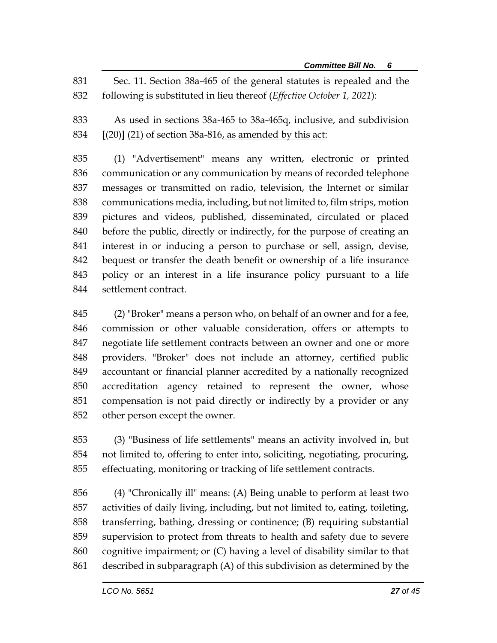Sec. 11. Section 38a-465 of the general statutes is repealed and the following is substituted in lieu thereof (*Effective October 1, 2021*):

 As used in sections 38a-465 to 38a-465q, inclusive, and subdivision **[**(20)**]** (21) of section 38a-816, as amended by this act:

 (1) "Advertisement" means any written, electronic or printed communication or any communication by means of recorded telephone messages or transmitted on radio, television, the Internet or similar communications media, including, but not limited to, film strips, motion pictures and videos, published, disseminated, circulated or placed before the public, directly or indirectly, for the purpose of creating an interest in or inducing a person to purchase or sell, assign, devise, bequest or transfer the death benefit or ownership of a life insurance policy or an interest in a life insurance policy pursuant to a life settlement contract.

 (2) "Broker" means a person who, on behalf of an owner and for a fee, commission or other valuable consideration, offers or attempts to negotiate life settlement contracts between an owner and one or more providers. "Broker" does not include an attorney, certified public accountant or financial planner accredited by a nationally recognized accreditation agency retained to represent the owner, whose compensation is not paid directly or indirectly by a provider or any other person except the owner.

 (3) "Business of life settlements" means an activity involved in, but not limited to, offering to enter into, soliciting, negotiating, procuring, effectuating, monitoring or tracking of life settlement contracts.

 (4) "Chronically ill" means: (A) Being unable to perform at least two activities of daily living, including, but not limited to, eating, toileting, transferring, bathing, dressing or continence; (B) requiring substantial supervision to protect from threats to health and safety due to severe cognitive impairment; or (C) having a level of disability similar to that described in subparagraph (A) of this subdivision as determined by the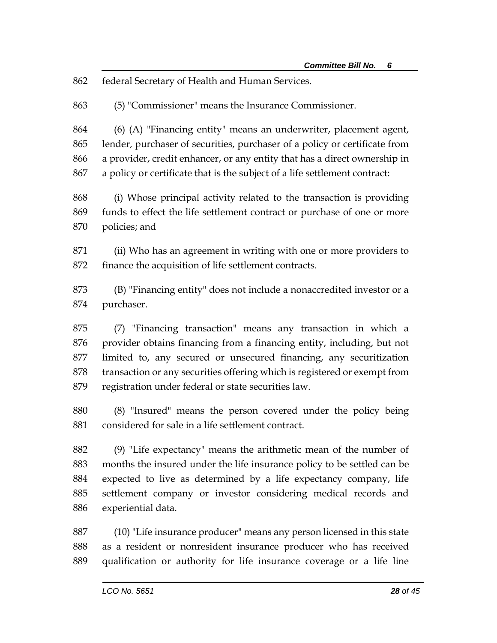federal Secretary of Health and Human Services.

(5) "Commissioner" means the Insurance Commissioner.

- (6) (A) "Financing entity" means an underwriter, placement agent, lender, purchaser of securities, purchaser of a policy or certificate from a provider, credit enhancer, or any entity that has a direct ownership in a policy or certificate that is the subject of a life settlement contract:
- (i) Whose principal activity related to the transaction is providing funds to effect the life settlement contract or purchase of one or more policies; and

 (ii) Who has an agreement in writing with one or more providers to finance the acquisition of life settlement contracts.

 (B) "Financing entity" does not include a nonaccredited investor or a purchaser.

 (7) "Financing transaction" means any transaction in which a provider obtains financing from a financing entity, including, but not limited to, any secured or unsecured financing, any securitization transaction or any securities offering which is registered or exempt from registration under federal or state securities law.

 (8) "Insured" means the person covered under the policy being considered for sale in a life settlement contract.

 (9) "Life expectancy" means the arithmetic mean of the number of months the insured under the life insurance policy to be settled can be expected to live as determined by a life expectancy company, life settlement company or investor considering medical records and experiential data.

 (10) "Life insurance producer" means any person licensed in this state as a resident or nonresident insurance producer who has received qualification or authority for life insurance coverage or a life line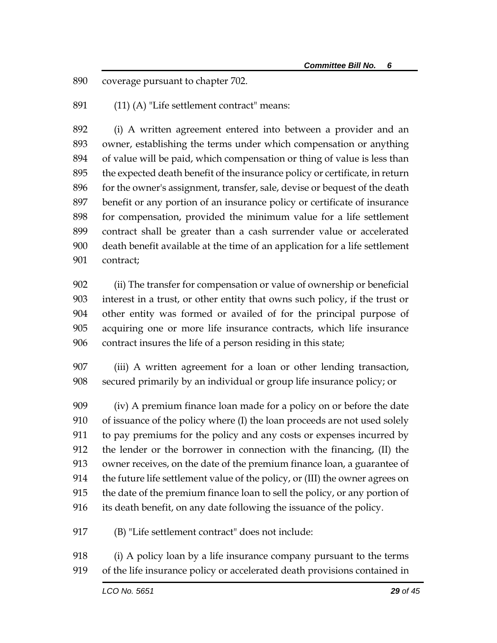coverage pursuant to chapter 702.

(11) (A) "Life settlement contract" means:

 (i) A written agreement entered into between a provider and an owner, establishing the terms under which compensation or anything of value will be paid, which compensation or thing of value is less than the expected death benefit of the insurance policy or certificate, in return for the owner's assignment, transfer, sale, devise or bequest of the death benefit or any portion of an insurance policy or certificate of insurance for compensation, provided the minimum value for a life settlement contract shall be greater than a cash surrender value or accelerated death benefit available at the time of an application for a life settlement contract;

 (ii) The transfer for compensation or value of ownership or beneficial interest in a trust, or other entity that owns such policy, if the trust or other entity was formed or availed of for the principal purpose of acquiring one or more life insurance contracts, which life insurance contract insures the life of a person residing in this state;

 (iii) A written agreement for a loan or other lending transaction, secured primarily by an individual or group life insurance policy; or

 (iv) A premium finance loan made for a policy on or before the date of issuance of the policy where (I) the loan proceeds are not used solely to pay premiums for the policy and any costs or expenses incurred by the lender or the borrower in connection with the financing, (II) the owner receives, on the date of the premium finance loan, a guarantee of the future life settlement value of the policy, or (III) the owner agrees on the date of the premium finance loan to sell the policy, or any portion of its death benefit, on any date following the issuance of the policy.

(B) "Life settlement contract" does not include:

 (i) A policy loan by a life insurance company pursuant to the terms of the life insurance policy or accelerated death provisions contained in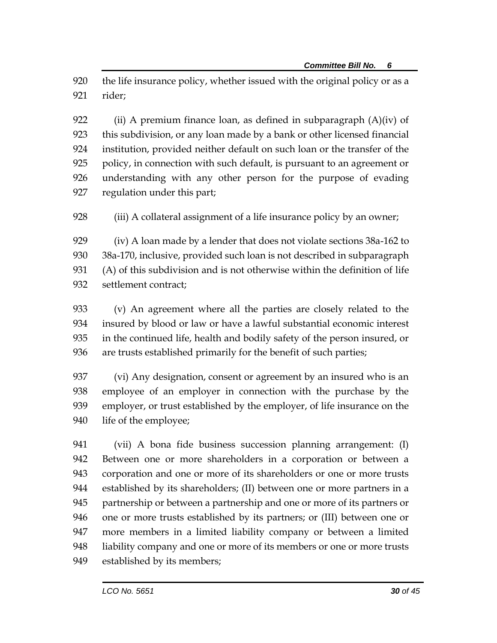the life insurance policy, whether issued with the original policy or as a rider;

922 (ii) A premium finance loan, as defined in subparagraph  $(A)(iv)$  of this subdivision, or any loan made by a bank or other licensed financial institution, provided neither default on such loan or the transfer of the policy, in connection with such default, is pursuant to an agreement or understanding with any other person for the purpose of evading regulation under this part;

928 (iii) A collateral assignment of a life insurance policy by an owner;

 (iv) A loan made by a lender that does not violate sections 38a-162 to 38a-170, inclusive, provided such loan is not described in subparagraph (A) of this subdivision and is not otherwise within the definition of life settlement contract;

 (v) An agreement where all the parties are closely related to the insured by blood or law or have a lawful substantial economic interest in the continued life, health and bodily safety of the person insured, or are trusts established primarily for the benefit of such parties;

 (vi) Any designation, consent or agreement by an insured who is an employee of an employer in connection with the purchase by the employer, or trust established by the employer, of life insurance on the life of the employee;

 (vii) A bona fide business succession planning arrangement: (I) Between one or more shareholders in a corporation or between a corporation and one or more of its shareholders or one or more trusts established by its shareholders; (II) between one or more partners in a partnership or between a partnership and one or more of its partners or one or more trusts established by its partners; or (III) between one or more members in a limited liability company or between a limited liability company and one or more of its members or one or more trusts established by its members;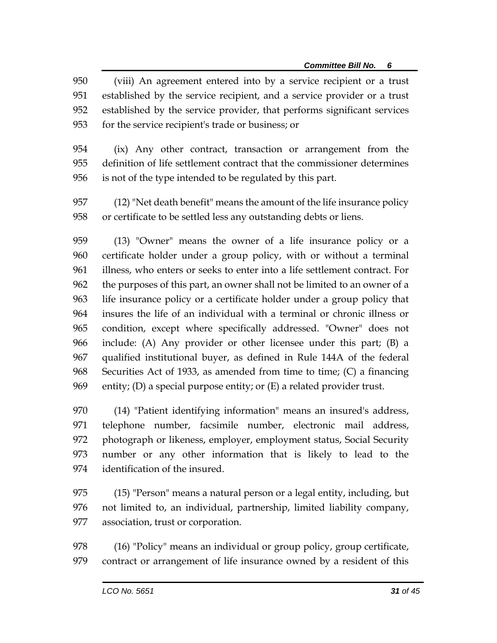(viii) An agreement entered into by a service recipient or a trust established by the service recipient, and a service provider or a trust established by the service provider, that performs significant services for the service recipient's trade or business; or

- (ix) Any other contract, transaction or arrangement from the definition of life settlement contract that the commissioner determines is not of the type intended to be regulated by this part.
- (12) "Net death benefit" means the amount of the life insurance policy or certificate to be settled less any outstanding debts or liens.

 (13) "Owner" means the owner of a life insurance policy or a certificate holder under a group policy, with or without a terminal illness, who enters or seeks to enter into a life settlement contract. For the purposes of this part, an owner shall not be limited to an owner of a life insurance policy or a certificate holder under a group policy that insures the life of an individual with a terminal or chronic illness or condition, except where specifically addressed. "Owner" does not include: (A) Any provider or other licensee under this part; (B) a qualified institutional buyer, as defined in Rule 144A of the federal Securities Act of 1933, as amended from time to time; (C) a financing 969 entity; (D) a special purpose entity; or  $(E)$  a related provider trust.

 (14) "Patient identifying information" means an insured's address, telephone number, facsimile number, electronic mail address, photograph or likeness, employer, employment status, Social Security number or any other information that is likely to lead to the identification of the insured.

 (15) "Person" means a natural person or a legal entity, including, but not limited to, an individual, partnership, limited liability company, association, trust or corporation.

 (16) "Policy" means an individual or group policy, group certificate, contract or arrangement of life insurance owned by a resident of this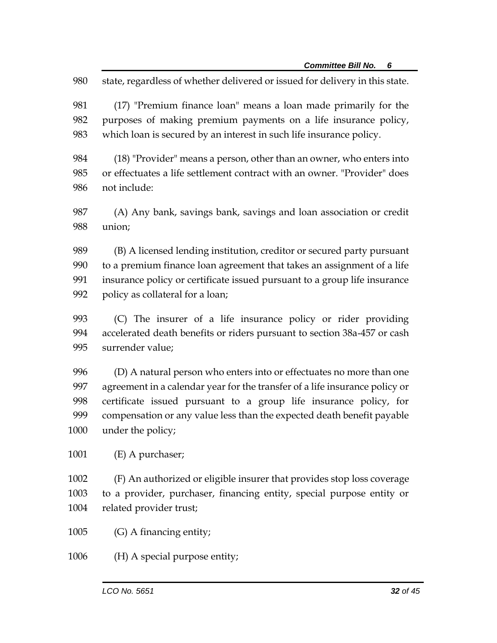state, regardless of whether delivered or issued for delivery in this state.

 (17) "Premium finance loan" means a loan made primarily for the purposes of making premium payments on a life insurance policy, which loan is secured by an interest in such life insurance policy.

 (18) "Provider" means a person, other than an owner, who enters into or effectuates a life settlement contract with an owner. "Provider" does not include:

 (A) Any bank, savings bank, savings and loan association or credit union;

 (B) A licensed lending institution, creditor or secured party pursuant to a premium finance loan agreement that takes an assignment of a life insurance policy or certificate issued pursuant to a group life insurance 992 policy as collateral for a loan;

 (C) The insurer of a life insurance policy or rider providing accelerated death benefits or riders pursuant to section 38a-457 or cash surrender value;

 (D) A natural person who enters into or effectuates no more than one agreement in a calendar year for the transfer of a life insurance policy or certificate issued pursuant to a group life insurance policy, for compensation or any value less than the expected death benefit payable 1000 under the policy;

(E) A purchaser;

 (F) An authorized or eligible insurer that provides stop loss coverage to a provider, purchaser, financing entity, special purpose entity or related provider trust;

(G) A financing entity;

(H) A special purpose entity;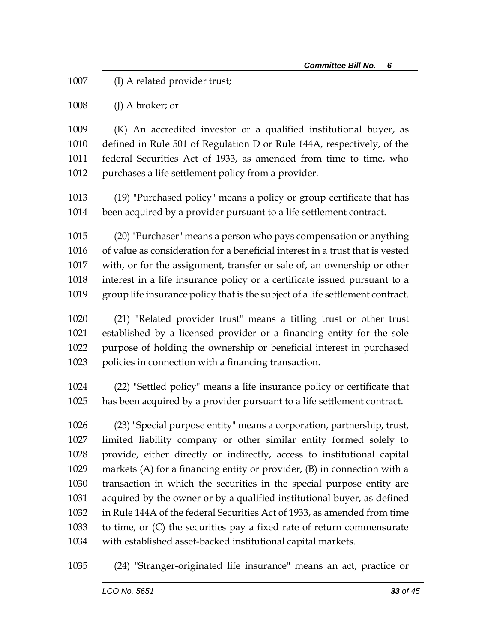(I) A related provider trust;

1008 (J) A broker; or

 (K) An accredited investor or a qualified institutional buyer, as defined in Rule 501 of Regulation D or Rule 144A, respectively, of the federal Securities Act of 1933, as amended from time to time, who purchases a life settlement policy from a provider.

 (19) "Purchased policy" means a policy or group certificate that has been acquired by a provider pursuant to a life settlement contract.

 (20) "Purchaser" means a person who pays compensation or anything of value as consideration for a beneficial interest in a trust that is vested with, or for the assignment, transfer or sale of, an ownership or other interest in a life insurance policy or a certificate issued pursuant to a group life insurance policy that is the subject of a life settlement contract.

 (21) "Related provider trust" means a titling trust or other trust established by a licensed provider or a financing entity for the sole purpose of holding the ownership or beneficial interest in purchased policies in connection with a financing transaction.

 (22) "Settled policy" means a life insurance policy or certificate that has been acquired by a provider pursuant to a life settlement contract.

 (23) "Special purpose entity" means a corporation, partnership, trust, limited liability company or other similar entity formed solely to provide, either directly or indirectly, access to institutional capital markets (A) for a financing entity or provider, (B) in connection with a transaction in which the securities in the special purpose entity are acquired by the owner or by a qualified institutional buyer, as defined in Rule 144A of the federal Securities Act of 1933, as amended from time to time, or (C) the securities pay a fixed rate of return commensurate with established asset-backed institutional capital markets.

(24) "Stranger-originated life insurance" means an act, practice or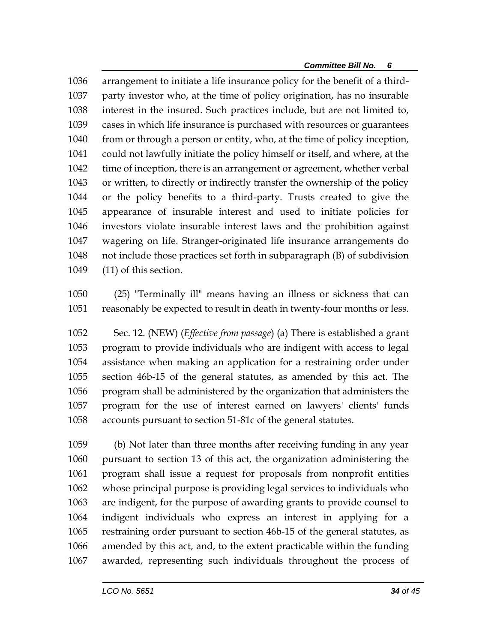arrangement to initiate a life insurance policy for the benefit of a third- party investor who, at the time of policy origination, has no insurable interest in the insured. Such practices include, but are not limited to, cases in which life insurance is purchased with resources or guarantees 1040 from or through a person or entity, who, at the time of policy inception, could not lawfully initiate the policy himself or itself, and where, at the 1042 time of inception, there is an arrangement or agreement, whether verbal or written, to directly or indirectly transfer the ownership of the policy or the policy benefits to a third-party. Trusts created to give the appearance of insurable interest and used to initiate policies for investors violate insurable interest laws and the prohibition against wagering on life. Stranger-originated life insurance arrangements do not include those practices set forth in subparagraph (B) of subdivision (11) of this section.

 (25) "Terminally ill" means having an illness or sickness that can reasonably be expected to result in death in twenty-four months or less.

 Sec. 12. (NEW) (*Effective from passage*) (a) There is established a grant program to provide individuals who are indigent with access to legal assistance when making an application for a restraining order under section 46b-15 of the general statutes, as amended by this act. The program shall be administered by the organization that administers the program for the use of interest earned on lawyers' clients' funds accounts pursuant to section 51-81c of the general statutes.

 (b) Not later than three months after receiving funding in any year pursuant to section 13 of this act, the organization administering the program shall issue a request for proposals from nonprofit entities whose principal purpose is providing legal services to individuals who are indigent, for the purpose of awarding grants to provide counsel to indigent individuals who express an interest in applying for a restraining order pursuant to section 46b-15 of the general statutes, as amended by this act, and, to the extent practicable within the funding awarded, representing such individuals throughout the process of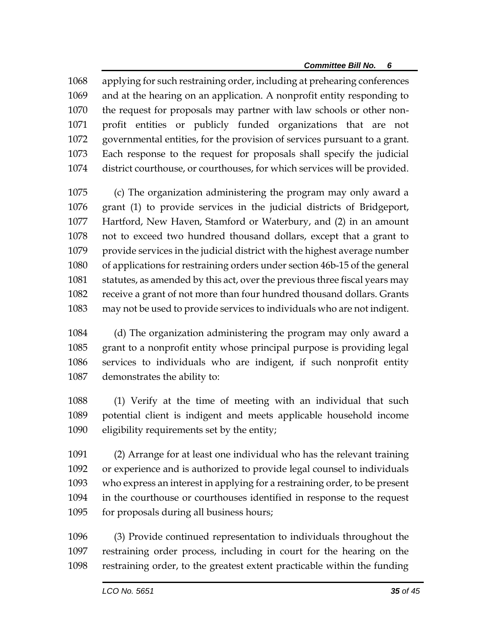applying for such restraining order, including at prehearing conferences and at the hearing on an application. A nonprofit entity responding to the request for proposals may partner with law schools or other non- profit entities or publicly funded organizations that are not governmental entities, for the provision of services pursuant to a grant. Each response to the request for proposals shall specify the judicial district courthouse, or courthouses, for which services will be provided.

 (c) The organization administering the program may only award a grant (1) to provide services in the judicial districts of Bridgeport, Hartford, New Haven, Stamford or Waterbury, and (2) in an amount not to exceed two hundred thousand dollars, except that a grant to provide services in the judicial district with the highest average number of applications for restraining orders under section 46b-15 of the general 1081 statutes, as amended by this act, over the previous three fiscal years may receive a grant of not more than four hundred thousand dollars. Grants may not be used to provide services to individuals who are not indigent.

 (d) The organization administering the program may only award a grant to a nonprofit entity whose principal purpose is providing legal services to individuals who are indigent, if such nonprofit entity demonstrates the ability to:

 (1) Verify at the time of meeting with an individual that such potential client is indigent and meets applicable household income eligibility requirements set by the entity;

 (2) Arrange for at least one individual who has the relevant training or experience and is authorized to provide legal counsel to individuals who express an interest in applying for a restraining order, to be present in the courthouse or courthouses identified in response to the request for proposals during all business hours;

 (3) Provide continued representation to individuals throughout the restraining order process, including in court for the hearing on the restraining order, to the greatest extent practicable within the funding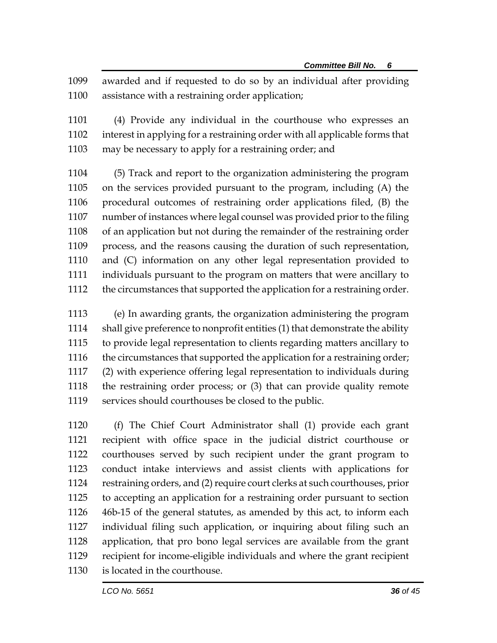awarded and if requested to do so by an individual after providing assistance with a restraining order application;

 (4) Provide any individual in the courthouse who expresses an interest in applying for a restraining order with all applicable forms that may be necessary to apply for a restraining order; and

 (5) Track and report to the organization administering the program on the services provided pursuant to the program, including (A) the procedural outcomes of restraining order applications filed, (B) the number of instances where legal counsel was provided prior to the filing of an application but not during the remainder of the restraining order process, and the reasons causing the duration of such representation, and (C) information on any other legal representation provided to individuals pursuant to the program on matters that were ancillary to the circumstances that supported the application for a restraining order.

 (e) In awarding grants, the organization administering the program shall give preference to nonprofit entities (1) that demonstrate the ability to provide legal representation to clients regarding matters ancillary to 1116 the circumstances that supported the application for a restraining order; (2) with experience offering legal representation to individuals during the restraining order process; or (3) that can provide quality remote services should courthouses be closed to the public.

 (f) The Chief Court Administrator shall (1) provide each grant recipient with office space in the judicial district courthouse or courthouses served by such recipient under the grant program to conduct intake interviews and assist clients with applications for restraining orders, and (2) require court clerks at such courthouses, prior to accepting an application for a restraining order pursuant to section 46b-15 of the general statutes, as amended by this act, to inform each individual filing such application, or inquiring about filing such an application, that pro bono legal services are available from the grant recipient for income-eligible individuals and where the grant recipient is located in the courthouse.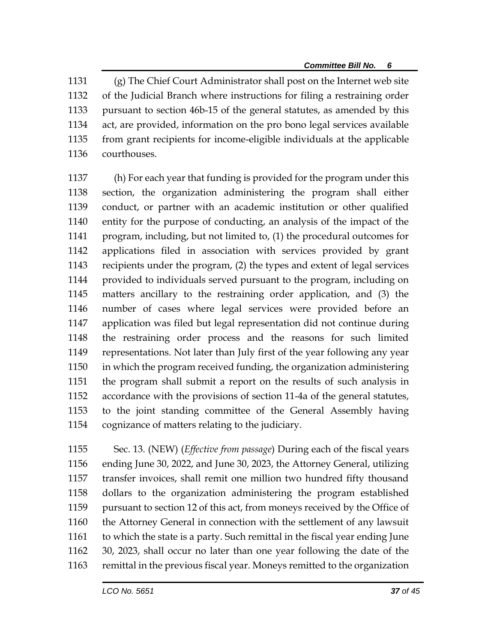(g) The Chief Court Administrator shall post on the Internet web site of the Judicial Branch where instructions for filing a restraining order pursuant to section 46b-15 of the general statutes, as amended by this act, are provided, information on the pro bono legal services available from grant recipients for income-eligible individuals at the applicable courthouses.

 (h) For each year that funding is provided for the program under this section, the organization administering the program shall either conduct, or partner with an academic institution or other qualified entity for the purpose of conducting, an analysis of the impact of the program, including, but not limited to, (1) the procedural outcomes for applications filed in association with services provided by grant recipients under the program, (2) the types and extent of legal services provided to individuals served pursuant to the program, including on matters ancillary to the restraining order application, and (3) the number of cases where legal services were provided before an application was filed but legal representation did not continue during the restraining order process and the reasons for such limited representations. Not later than July first of the year following any year in which the program received funding, the organization administering the program shall submit a report on the results of such analysis in accordance with the provisions of section 11-4a of the general statutes, to the joint standing committee of the General Assembly having cognizance of matters relating to the judiciary.

 Sec. 13. (NEW) (*Effective from passage*) During each of the fiscal years ending June 30, 2022, and June 30, 2023, the Attorney General, utilizing transfer invoices, shall remit one million two hundred fifty thousand dollars to the organization administering the program established pursuant to section 12 of this act, from moneys received by the Office of the Attorney General in connection with the settlement of any lawsuit to which the state is a party. Such remittal in the fiscal year ending June 30, 2023, shall occur no later than one year following the date of the remittal in the previous fiscal year. Moneys remitted to the organization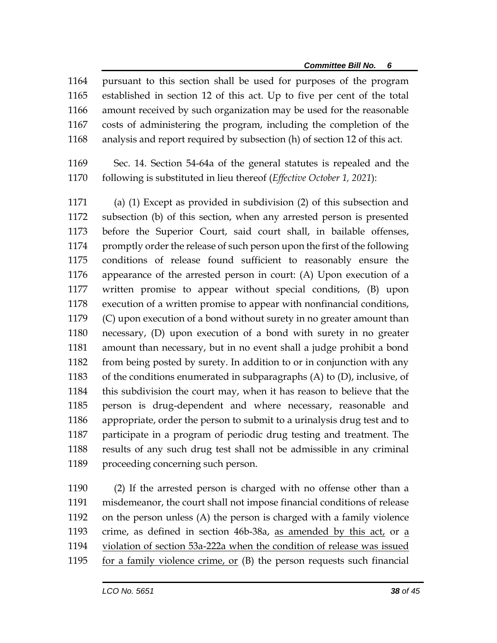pursuant to this section shall be used for purposes of the program established in section 12 of this act. Up to five per cent of the total amount received by such organization may be used for the reasonable costs of administering the program, including the completion of the analysis and report required by subsection (h) of section 12 of this act.

 Sec. 14. Section 54-64a of the general statutes is repealed and the following is substituted in lieu thereof (*Effective October 1, 2021*):

 (a) (1) Except as provided in subdivision (2) of this subsection and subsection (b) of this section, when any arrested person is presented before the Superior Court, said court shall, in bailable offenses, promptly order the release of such person upon the first of the following conditions of release found sufficient to reasonably ensure the appearance of the arrested person in court: (A) Upon execution of a written promise to appear without special conditions, (B) upon execution of a written promise to appear with nonfinancial conditions, (C) upon execution of a bond without surety in no greater amount than necessary, (D) upon execution of a bond with surety in no greater amount than necessary, but in no event shall a judge prohibit a bond from being posted by surety. In addition to or in conjunction with any of the conditions enumerated in subparagraphs (A) to (D), inclusive, of this subdivision the court may, when it has reason to believe that the person is drug-dependent and where necessary, reasonable and appropriate, order the person to submit to a urinalysis drug test and to participate in a program of periodic drug testing and treatment. The results of any such drug test shall not be admissible in any criminal proceeding concerning such person.

 (2) If the arrested person is charged with no offense other than a misdemeanor, the court shall not impose financial conditions of release on the person unless (A) the person is charged with a family violence crime, as defined in section 46b-38a, as amended by this act, or a violation of section 53a-222a when the condition of release was issued for a family violence crime, or (B) the person requests such financial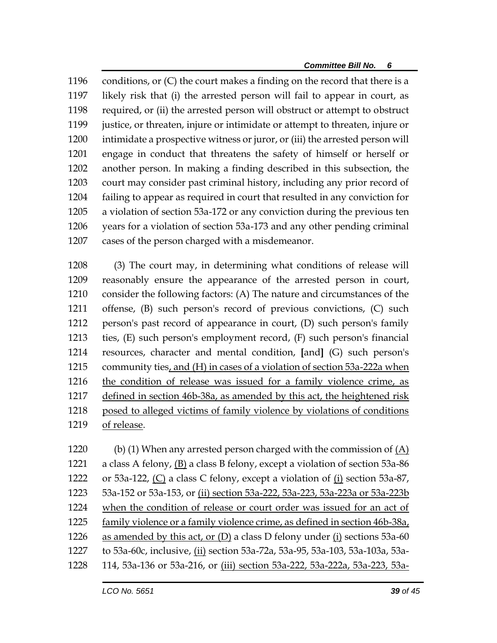1196 conditions, or (C) the court makes a finding on the record that there is a likely risk that (i) the arrested person will fail to appear in court, as required, or (ii) the arrested person will obstruct or attempt to obstruct justice, or threaten, injure or intimidate or attempt to threaten, injure or intimidate a prospective witness or juror, or (iii) the arrested person will engage in conduct that threatens the safety of himself or herself or another person. In making a finding described in this subsection, the court may consider past criminal history, including any prior record of failing to appear as required in court that resulted in any conviction for a violation of section 53a-172 or any conviction during the previous ten years for a violation of section 53a-173 and any other pending criminal cases of the person charged with a misdemeanor.

 (3) The court may, in determining what conditions of release will reasonably ensure the appearance of the arrested person in court, consider the following factors: (A) The nature and circumstances of the offense, (B) such person's record of previous convictions, (C) such person's past record of appearance in court, (D) such person's family ties, (E) such person's employment record, (F) such person's financial resources, character and mental condition, **[**and**]** (G) such person's community ties, and (H) in cases of a violation of section 53a-222a when the condition of release was issued for a family violence crime, as 1217 defined in section 46b-38a, as amended by this act, the heightened risk posed to alleged victims of family violence by violations of conditions of release.

1220 (b) (1) When any arrested person charged with the commission of  $\underline{A}$ 1221 a class A felony, (B) a class B felony, except a violation of section 53a-86 or 53a-122, (C) a class C felony, except a violation of (i) section 53a-87, 53a-152 or 53a-153, or (ii) section 53a-222, 53a-223, 53a-223a or 53a-223b when the condition of release or court order was issued for an act of family violence or a family violence crime, as defined in section 46b-38a, as amended by this act, or (D) a class D felony under (i) sections 53a-60 to 53a-60c, inclusive, (ii) section 53a-72a, 53a-95, 53a-103, 53a-103a, 53a-114, 53a-136 or 53a-216, or (iii) section 53a-222, 53a-222a, 53a-223, 53a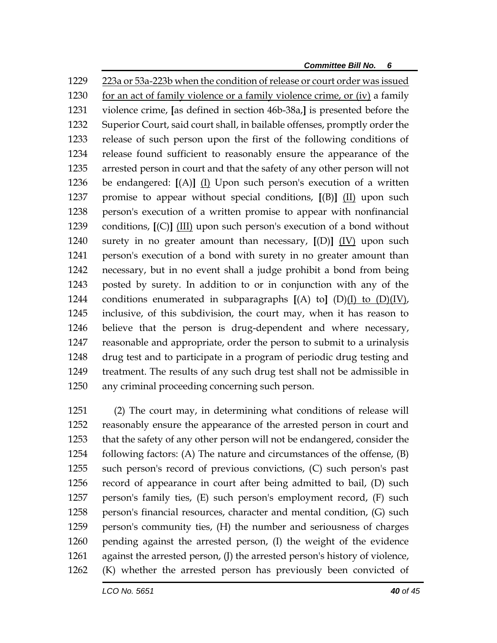223a or 53a-223b when the condition of release or court order was issued for an act of family violence or a family violence crime, or (iv) a family violence crime, **[**as defined in section 46b-38a,**]** is presented before the Superior Court, said court shall, in bailable offenses, promptly order the release of such person upon the first of the following conditions of release found sufficient to reasonably ensure the appearance of the arrested person in court and that the safety of any other person will not be endangered: **[**(A)**]** (I) Upon such person's execution of a written promise to appear without special conditions, **[**(B)**]** (II) upon such person's execution of a written promise to appear with nonfinancial conditions, **[**(C)**]** (III) upon such person's execution of a bond without surety in no greater amount than necessary, **[**(D)**]** (IV) upon such person's execution of a bond with surety in no greater amount than necessary, but in no event shall a judge prohibit a bond from being posted by surety. In addition to or in conjunction with any of the conditions enumerated in subparagraphs **[**(A) to**]** (D)(I) to (D)(IV), inclusive, of this subdivision, the court may, when it has reason to believe that the person is drug-dependent and where necessary, reasonable and appropriate, order the person to submit to a urinalysis drug test and to participate in a program of periodic drug testing and treatment. The results of any such drug test shall not be admissible in any criminal proceeding concerning such person.

 (2) The court may, in determining what conditions of release will reasonably ensure the appearance of the arrested person in court and that the safety of any other person will not be endangered, consider the following factors: (A) The nature and circumstances of the offense, (B) such person's record of previous convictions, (C) such person's past record of appearance in court after being admitted to bail, (D) such person's family ties, (E) such person's employment record, (F) such person's financial resources, character and mental condition, (G) such person's community ties, (H) the number and seriousness of charges pending against the arrested person, (I) the weight of the evidence against the arrested person, (J) the arrested person's history of violence, (K) whether the arrested person has previously been convicted of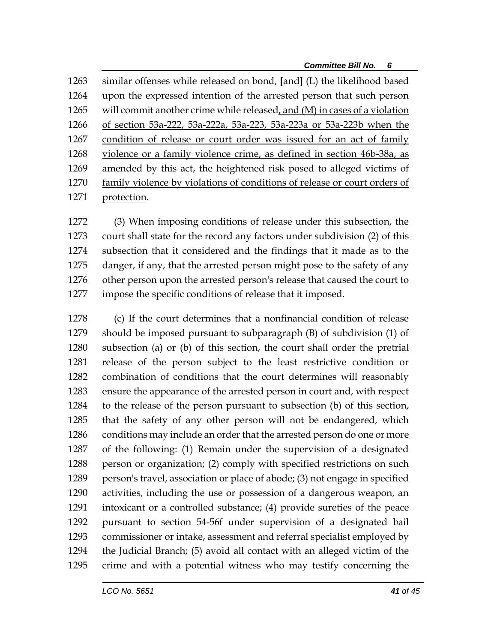similar offenses while released on bond, **[**and**]** (L) the likelihood based upon the expressed intention of the arrested person that such person will commit another crime while released, and (M) in cases of a violation of section 53a-222, 53a-222a, 53a-223, 53a-223a or 53a-223b when the condition of release or court order was issued for an act of family violence or a family violence crime, as defined in section 46b-38a, as amended by this act, the heightened risk posed to alleged victims of family violence by violations of conditions of release or court orders of protection.

 (3) When imposing conditions of release under this subsection, the court shall state for the record any factors under subdivision (2) of this subsection that it considered and the findings that it made as to the danger, if any, that the arrested person might pose to the safety of any other person upon the arrested person's release that caused the court to impose the specific conditions of release that it imposed.

 (c) If the court determines that a nonfinancial condition of release should be imposed pursuant to subparagraph (B) of subdivision (1) of subsection (a) or (b) of this section, the court shall order the pretrial release of the person subject to the least restrictive condition or combination of conditions that the court determines will reasonably ensure the appearance of the arrested person in court and, with respect to the release of the person pursuant to subsection (b) of this section, that the safety of any other person will not be endangered, which 1286 conditions may include an order that the arrested person do one or more of the following: (1) Remain under the supervision of a designated 1288 person or organization; (2) comply with specified restrictions on such person's travel, association or place of abode; (3) not engage in specified activities, including the use or possession of a dangerous weapon, an intoxicant or a controlled substance; (4) provide sureties of the peace pursuant to section 54-56f under supervision of a designated bail commissioner or intake, assessment and referral specialist employed by the Judicial Branch; (5) avoid all contact with an alleged victim of the crime and with a potential witness who may testify concerning the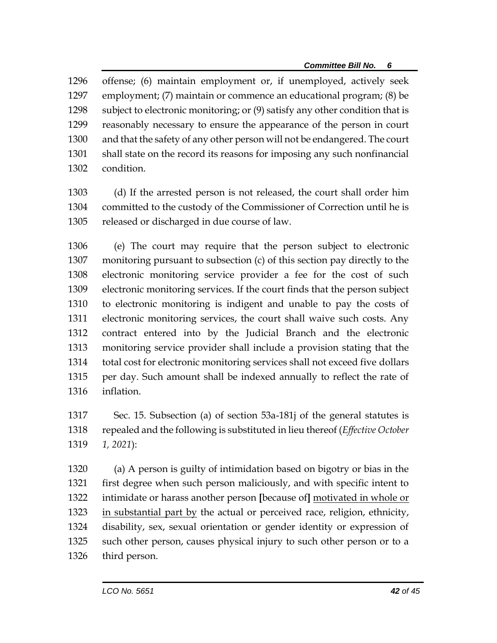offense; (6) maintain employment or, if unemployed, actively seek employment; (7) maintain or commence an educational program; (8) be subject to electronic monitoring; or (9) satisfy any other condition that is reasonably necessary to ensure the appearance of the person in court and that the safety of any other person will not be endangered. The court shall state on the record its reasons for imposing any such nonfinancial condition.

 (d) If the arrested person is not released, the court shall order him committed to the custody of the Commissioner of Correction until he is released or discharged in due course of law.

 (e) The court may require that the person subject to electronic monitoring pursuant to subsection (c) of this section pay directly to the electronic monitoring service provider a fee for the cost of such electronic monitoring services. If the court finds that the person subject to electronic monitoring is indigent and unable to pay the costs of electronic monitoring services, the court shall waive such costs. Any contract entered into by the Judicial Branch and the electronic monitoring service provider shall include a provision stating that the total cost for electronic monitoring services shall not exceed five dollars per day. Such amount shall be indexed annually to reflect the rate of inflation.

 Sec. 15. Subsection (a) of section 53a-181j of the general statutes is repealed and the following is substituted in lieu thereof (*Effective October 1, 2021*):

 (a) A person is guilty of intimidation based on bigotry or bias in the first degree when such person maliciously, and with specific intent to intimidate or harass another person **[**because of**]** motivated in whole or 1323 in substantial part by the actual or perceived race, religion, ethnicity, disability, sex, sexual orientation or gender identity or expression of such other person, causes physical injury to such other person or to a third person.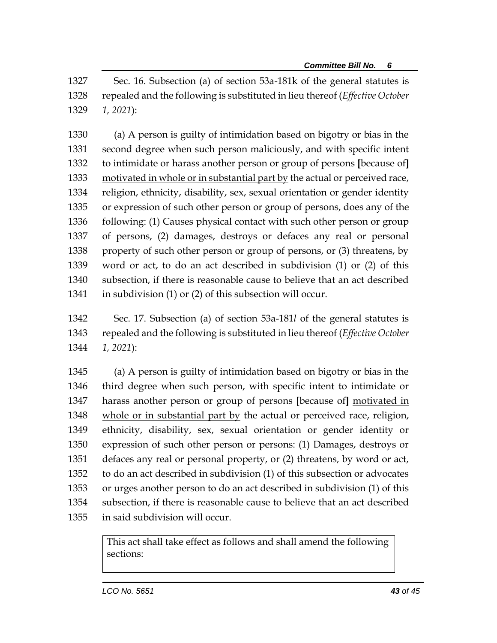Sec. 16. Subsection (a) of section 53a-181k of the general statutes is repealed and the following is substituted in lieu thereof (*Effective October 1, 2021*):

 (a) A person is guilty of intimidation based on bigotry or bias in the second degree when such person maliciously, and with specific intent to intimidate or harass another person or group of persons **[**because of**]** 1333 motivated in whole or in substantial part by the actual or perceived race, religion, ethnicity, disability, sex, sexual orientation or gender identity or expression of such other person or group of persons, does any of the 1336 following: (1) Causes physical contact with such other person or group of persons, (2) damages, destroys or defaces any real or personal property of such other person or group of persons, or (3) threatens, by word or act, to do an act described in subdivision (1) or (2) of this subsection, if there is reasonable cause to believe that an act described in subdivision (1) or (2) of this subsection will occur.

 Sec. 17. Subsection (a) of section 53a-181*l* of the general statutes is repealed and the following is substituted in lieu thereof (*Effective October 1, 2021*):

 (a) A person is guilty of intimidation based on bigotry or bias in the third degree when such person, with specific intent to intimidate or harass another person or group of persons **[**because of**]** motivated in 1348 whole or in substantial part by the actual or perceived race, religion, ethnicity, disability, sex, sexual orientation or gender identity or expression of such other person or persons: (1) Damages, destroys or defaces any real or personal property, or (2) threatens, by word or act, to do an act described in subdivision (1) of this subsection or advocates or urges another person to do an act described in subdivision (1) of this subsection, if there is reasonable cause to believe that an act described in said subdivision will occur.

> This act shall take effect as follows and shall amend the following sections: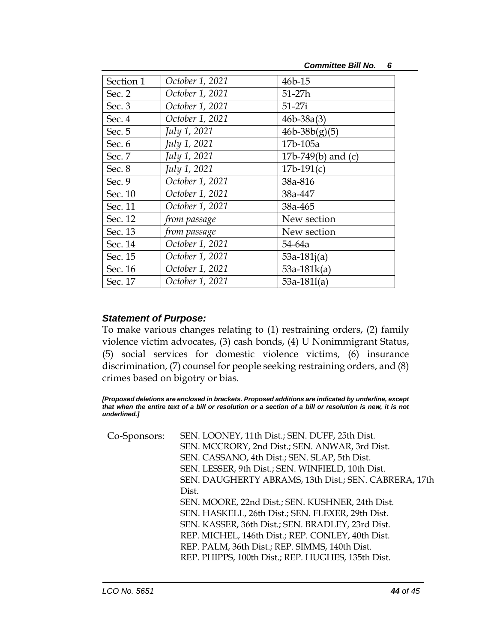| Section 1 | October 1, 2021 | 46b-15             |
|-----------|-----------------|--------------------|
| Sec. $2$  | October 1, 2021 | $51 - 27h$         |
| Sec. $3$  | October 1, 2021 | $51 - 27i$         |
| Sec. 4    | October 1, 2021 | $46b - 38a(3)$     |
| Sec. 5    | July 1, 2021    | $46b-38b(g)(5)$    |
| Sec. 6    | July 1, 2021    | 17b-105a           |
| Sec. 7    | July 1, 2021    | 17b-749(b) and (c) |
| Sec. $8$  | July 1, 2021    | $17b-191(c)$       |
| Sec. 9    | October 1, 2021 | 38a-816            |
| Sec. 10   | October 1, 2021 | 38a-447            |
| Sec. 11   | October 1, 2021 | 38a-465            |
| Sec. 12   | from passage    | New section        |
| Sec. 13   | from passage    | New section        |
| Sec. 14   | October 1, 2021 | 54-64a             |
| Sec. 15   | October 1, 2021 | $53a-181j(a)$      |
| Sec. 16   | October 1, 2021 | $53a-181k(a)$      |
| Sec. 17   | October 1, 2021 | $53a-1811(a)$      |

## *Statement of Purpose:*

To make various changes relating to (1) restraining orders, (2) family violence victim advocates, (3) cash bonds, (4) U Nonimmigrant Status, (5) social services for domestic violence victims, (6) insurance discrimination, (7) counsel for people seeking restraining orders, and (8) crimes based on bigotry or bias.

*[Proposed deletions are enclosed in brackets. Proposed additions are indicated by underline, except that when the entire text of a bill or resolution or a section of a bill or resolution is new, it is not underlined.]*

Co-Sponsors: SEN. LOONEY, 11th Dist.; SEN. DUFF, 25th Dist. SEN. MCCRORY, 2nd Dist.; SEN. ANWAR, 3rd Dist. SEN. CASSANO, 4th Dist.; SEN. SLAP, 5th Dist. SEN. LESSER, 9th Dist.; SEN. WINFIELD, 10th Dist. SEN. DAUGHERTY ABRAMS, 13th Dist.; SEN. CABRERA, 17th Dist. SEN. MOORE, 22nd Dist.; SEN. KUSHNER, 24th Dist. SEN. HASKELL, 26th Dist.; SEN. FLEXER, 29th Dist. SEN. KASSER, 36th Dist.; SEN. BRADLEY, 23rd Dist. REP. MICHEL, 146th Dist.; REP. CONLEY, 40th Dist. REP. PALM, 36th Dist.; REP. SIMMS, 140th Dist. REP. PHIPPS, 100th Dist.; REP. HUGHES, 135th Dist.